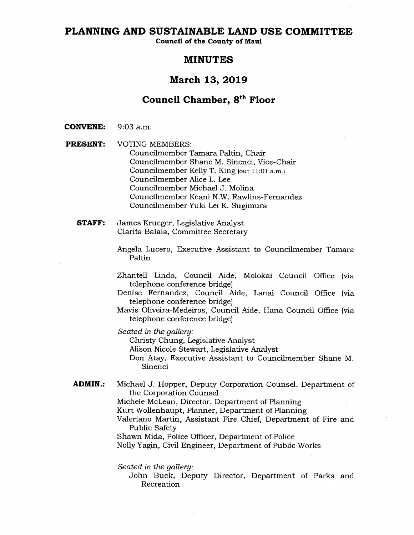## **PLANNING AND SUSTAINABLE LAND USE COMMITTEE**

**Council of the County of Maui** 

# **MINUTES**

# **March 13, 2019**

# **Council Chamber, 8th Floor**

**CONVENE: 9:03** a.m.

**PRESENT:** VOTING MEMBERS: Councilmember Tamara Paltin, Chair Councilmember Shane M. Sinenci, Vice-Chair Councilmember Kelly T. King (out 11:01 a.m.) Councilmember Alice L. Lee Councilmember Michael J. Molina Councilmember Keani N.W. Rawlins-Fernandez Councilmember Yuki Lei K. Sugimura

**STAFF:** James Krueger, Legislative Analyst Clarita Balala, Committee Secretary

> Angela Lucero, Executive Assistant to Councilmember Tamara Paltin

- Zhantell Lindo, Council Aide, Molokai Council Office (via telephone conference bridge)
- Denise Fernandez, Council Aide, Lanai Council Office (via telephone conference bridge)
- Mavis Oliveira-Medeiros, Council Aide, Hana Council Office (via telephone conference bridge)

*Seated in the gallery:* 

Christy Chung, Legislative Analyst

Alison Nicole Stewart, Legislative Analyst

Don Atay, Executive Assistant to Councilmember Shane M. Sinenci

**ADMIN.:** Michael J. Hopper, Deputy Corporation Counsel, Department of the Corporation Counsel

Michele McLean, Director, Department of Planning

Kurt Wollenhaupt, Planner, Department of Planning

Valeriano Martin, Assistant Fire Chief, Department of Fire and Public Safety

Shawn Mida, Police Officer, Department of Police

Nolly Yagin, Civil Engineer, Department of Public Works

*Seated in the gallery:* 

John Buck, Deputy Director, Department of Parks and Recreation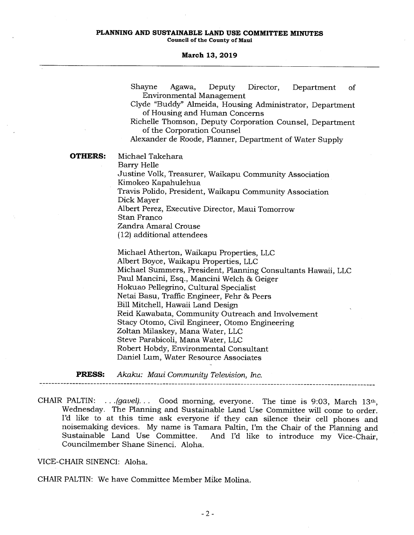### **PLANNING AND SUSTAINABLE LAND USE COMMITTEE MINUTES Council of the County of Maui**

#### **March 13, 2019**

|                | Shayne<br>Agawa,<br>Deputy<br>Director,<br>Department<br>of                            |
|----------------|----------------------------------------------------------------------------------------|
|                | <b>Environmental Management</b>                                                        |
|                | Clyde "Buddy" Almeida, Housing Administrator, Department                               |
|                | of Housing and Human Concerns                                                          |
|                | Richelle Thomson, Deputy Corporation Counsel, Department<br>of the Corporation Counsel |
|                | Alexander de Roode, Planner, Department of Water Supply                                |
|                |                                                                                        |
| <b>OTHERS:</b> | Michael Takehara                                                                       |
|                | Barry Helle                                                                            |
|                | Justine Volk, Treasurer, Waikapu Community Association                                 |
|                | Kimokeo Kapahulehua                                                                    |
|                | Travis Polido, President, Waikapu Community Association                                |
|                | Dick Mayer                                                                             |
|                | Albert Perez, Executive Director, Maui Tomorrow                                        |
|                | Stan Franco                                                                            |
|                | Zandra Amaral Crouse                                                                   |
|                | (12) additional attendees                                                              |
|                | Michael Atherton, Waikapu Properties, LLC                                              |
|                | Albert Boyce, Waikapu Properties, LLC                                                  |
|                | Michael Summers, President, Planning Consultants Hawaii, LLC                           |
|                | Paul Mancini, Esq., Mancini Welch & Geiger                                             |
|                | Hokuao Pellegrino, Cultural Specialist                                                 |
|                | Netai Basu, Traffic Engineer, Fehr & Peers                                             |
|                | Bill Mitchell, Hawaii Land Design                                                      |
|                | Reid Kawabata, Community Outreach and Involvement                                      |
|                | Stacy Otomo, Civil Engineer, Otomo Engineering                                         |
|                | Zoltan Milaskey, Mana Water, LLC                                                       |
|                | Steve Parabicoli, Mana Water, LLC                                                      |
|                | Robert Hobdy, Environmental Consultant                                                 |

Daniel Lum, Water Resource Associates

**PRESS:** Akaku: *Maui Community Television, Inc.* 

CHAIR PALTIN: ... *(gavel)...* Good morning, everyone. The time is 9:03, March 13th, Wednesday. The Planning and Sustainable Land Use Committee will come to order. I'd like to at this time ask everyone if they can silence their cell phones and noisemaking devices. My name is Tamara Paltin, I'm the Chair of the Planning and Sustainable Land Use Committee. And I'd like to introduce my Vice-Chair. And I'd like to introduce my Vice-Chair,

VICE-CHAIR SINENCI: Aloha.

CHAIR PALTIN: We have Committee Member Mike Molina.

Councilmember Shane Sinenci. Aloha.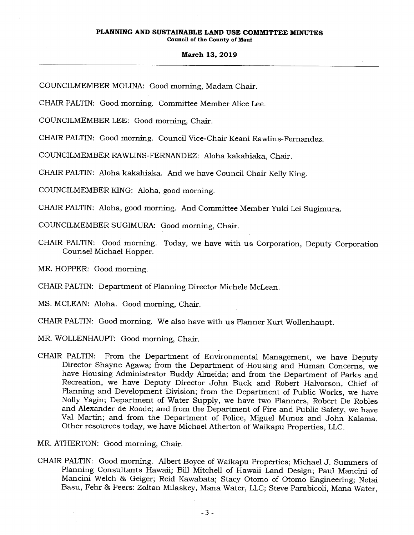COUNCILMEMBER MOLINA: Good morning, Madam Chair.

CHAIR PALTIN: Good morning. Committee Member Alice Lee.

COUNCILMEMBER LEE: Good morning, Chair.

CHAIR PALTIN: Good morning. Council Vice-Chair Keani Rawlins-Fernandez.

COUNCILMEMBER RAWLINS-FERNANDEZ: Aloha kakahiaka, Chair.

CHAIR PALTIN: Aloha kakahiaka. And we have Council Chair Kelly King.

COUNCILMEMBER KING: Aloha, good morning.

CHAIR PALTIN: Aloha, good morning. And Committee Member Yuki Lei Sugimura.

COUNCILMEMBER SUGIMURA: Good morning, Chair.

CHAIR PALTIN: Good morning. Today, we have with us Corporation, Deputy Corporation Counsel Michael Hopper.

MR. HOPPER: Good morning.

CHAIR PALTIN: Department of Planning Director Michele McLean.

MS. MCLEAN: Aloha. Good morning, Chair.

CHAIR PALTIN: Good morning. We also have with us Planner Kurt Wollenhaupt.

- MR. WOLLENHAUPT: Good morning, Chair.
- CHAIR PALTIN: From the Department of Environmental Management, we have Deputy Director Shayne Agawa; from the Department of Housing and Human Concerns, we have Housing Administrator Buddy Almeida; and from the Department of Parks and Recreation, we have Deputy Director John Buck and Robert Halvorson, Chief of Planning and Development Division; from the Department of Public Works, we have Nolly Yagin; Department of Water Supply, we have two Planners, Robert De Robles and Alexander de Roode; and from the Department of Fire and Public Safety, we have Val Martin; and from the Department of Police, Miguel Munoz and John Kalama. Other resources today, we have Michael Atherton of Waikapu Properties, LLC.

MR. ATHERTON: Good morning, Chair.

CHAIR PALTIN: Good morning. Albert Boyce of Waikapu Properties; Michael J. Summers of Planning Consultants Hawaii; Bill Mitchell of Hawaii Land Design; Paul Mancini of Mancini Welch & Geiger; Reid Kawabata; Stacy Otomo of Otomo Engineering; Netai Basu, Fehr & Peers: Zoltan Milaskey, Mana Water, LLC; Steve Parabicoli, Mana Water,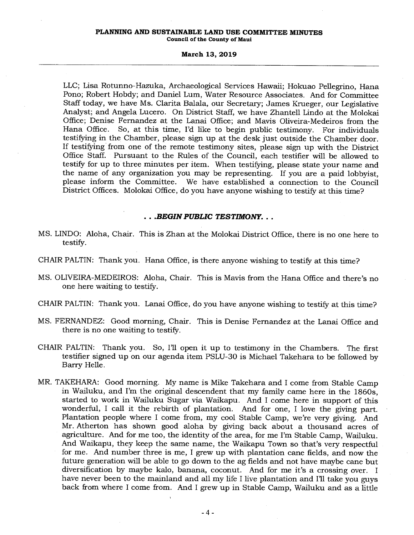#### **PLANNING AND SUSTAINABLE LAND USE COMMITTEE MINUTES Council of the County of Maui**

#### **March 13, 2019**

LLC; Lisa Rotunno-Hazuka, Archaeological Services Hawaii; Hokuao Pellegrino, Hana Pono; Robert Hobdy; and Daniel Lum, Water Resource Associates. And for Committee Staff today, we have Ms. Clarita Balala, our Secretary; James Krueger, our Legislative Analyst; and Angela Lucero. On District Staff, we have Zhantell Lindo at the Molokai Office; Denise Fernandez at the Lanai Office; and Mavis Oliveira-Medeiros from the Hana Office. So, at this time, I'd like to begin public testimony. For individuals testifying in the Chamber, please sign up at the desk just outside the Chamber door. If testifying from one of the remote testimony sites, please sign up with the District Office Staff. Pursuant to the Rules of the Council, each testifier will be allowed to testify for up to three minutes per item. When testifying, please state your name and the name of any organization you may be representing. If you are a paid lobbyist, please inform the Committee. We have established a connection to the Council District Offices. Molokai Office, do you have anyone wishing to testify at this time?

## *. . .BEGIN PUBLIC TESTIMONY.. .*

- MS. UNDO: Aloha, Chair. This is Zhan at the Molokai District Office, there is no one here to testify.
- CHAIR PALTIN: Thank you. Hana Office, is there anyone wishing to testify at this time?
- MS. OLIVEIRA-MEDEIROS: Aloha, Chair. This is Mavis from the Hana Office and there's no one here waiting to testify.
- CHAIR PALTIN: Thank you. Lanai Office, do you have anyone wishing to testify at this time?
- MS. FERNANDEZ: Good morning, Chair. This is Denise Fernandez at the Lanai Office and there is no one waiting to testify.
- CHAIR PALTIN: Thank you. So, I'll open it up to testimony in the Chambers. The first testifier signed up on our agenda item PSLU-30 is Michael Takehara to be followed by Barry Helle.
- MR. TAKEHARA: Good morning. My name is Mike Takehara and I come from Stable Camp in Wailuku, and I'm the original descendent that my family came here in the 1860s, started to work in Wailuku Sugar via Waikapu. And I come here in support of this wonderful, I call it the rebirth of plantation. And for one, I love the giving part. Plantation people where I come from, my cool Stable Camp, we're very giving. And Mr. Atherton has shown good aloha by giving back about a thousand acres of agriculture. And for me too, the identity of the area, for me I'm Stable Camp, Wailuku. And Waikapu, they keep the same name, the Waikapu Town so that's very respectful for me. And number three is me, I grew up with plantation cane fields, and now the future generation will be able to go down to the ag fields and not have maybe cane but diversification by maybe kalo, banana, coconut. And for me it's a crossing over. I have never been to the mainland and all my life I live plantation and I'll take you guys back from where I come from. And I grew up in Stable Camp, Wailuku and as a little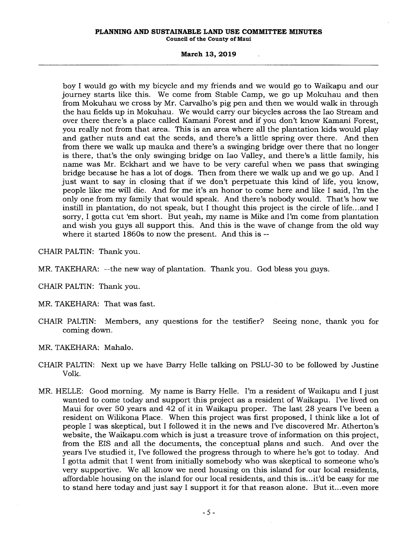## **PLANNING AND SUSTAINABLE LAND USE COMMITTEE MINUTES**

**Council of the County of Maui** 

## **March 13, 2019**

boy I would go with my bicycle and my friends and we would go to Waikapu and our journey starts like this. We come from Stable Camp, we go up Mokuhau and then from Mokuhau we cross by Mr. Carvalho's pig pen and then we would walk in through the hau fields up in Mokuhau. We would carry our bicycles across the Iao Stream and over there there's a place called Kamani Forest and if you don't know Kamani Forest, you really not from that area. This is an area where all the plantation kids would play and gather nuts and eat the seeds, and there's a little spring over there. And then from there we walk up mauka and there's a swinging bridge over there that no longer is there, that's the only swinging bridge on Iao Valley, and there's a little family, his name was Mr. Eckhart and we have to be very careful when we pass that swinging bridge because he has a lot of dogs. Then from there we walk up and we go up. And I just want to say in closing that if we don't perpetuate this kind of life, you know, people like me will die. And for me it's an honor to come here and like I said, I'm the only one from my family that would speak. And there's nobody would. That's how we instill in plantation, do not speak, but I thought this project is the circle of life...and I sorry, I gotta cut 'em short. But yeah, my name is Mike and I'm come from plantation and wish you guys all support this. And this is the wave of change from the old way where it started 1860s to now the present. And this is --

CHAIR PALTIN: Thank you.

- MR. TAKEHARA: --the new way of plantation. Thank you. God bless you guys.
- CHAIR PALTIN: Thank you.
- MR. TAKEHARA: That was fast.
- CHAIR PALTIN: Members, any questions for the testifier? Seeing none, thank you for coming down.
- MR. TAKEHARA: Mahalo.
- CHAIR PALTIN: Next up we have Barry Helle talking on PSLU-30 to be followed by Justine Volk.
- MR. HELLE: Good morning. My name is Barry Helle. I'm a resident of Waikapu and I just wanted to come today and support this project as a resident of Waikapu. I've lived on Maui for over 50 years and 42 of it in Waikapu proper. The last 28 years I've been a resident on Wilikona Place. When this project was first proposed, I think like a lot of people I was skeptical, but I followed it in the news and I've discovered Mr. Atherton's website, the Waikapu.com which is just a treasure trove of information on this project, from the EIS and all the documents, the conceptual plans and such. And over the years I've studied it, I've followed the progress through to where he's got to today. And I gotta admit that I went from initially somebody who was skeptical to someone who's very supportive. We all know we need housing on this island for our local residents, affordable housing on the island for our local residents, and this is...it'd be easy for me to stand here today and just say I support it for that reason alone. But it...even more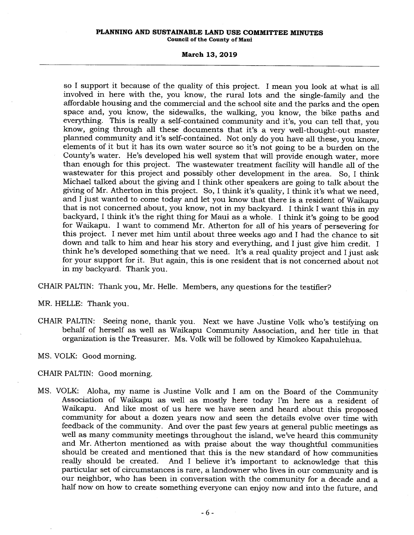#### **PLANNING AND SUSTAINABLE LAND USE COMMITTEE MINUTES Council of the County of Maui**

#### **March 13, 2019**

so I support it because of the quality of this project. I mean you look at what is all involved in here with the, you know, the rural lots and the single-family and the affordable housing and the commercial and the school site and the parks and the open space and, you know, the sidewalks, the walking, you know, the bike paths and everything. This is really a self-contained community and it's, you can tell that, you know, going through all these documents that it's a very well-thought-out master planned community and it's self-contained. Not only do you have all these, you know, elements of it but it has its own water source so it's not going to be a burden on the County's water. He's developed his well system that will provide enough water, more than enough for this project. The wastewater treatment facility will handle all of the wastewater for this project and possibly other development in the area. So, I think Michael talked about the giving and I think other speakers are going to talk about the giving of Mr. Atherton in this project. So, I think it's quality, I think it's what we need, and I just wanted to come today and let you know that there is a resident of Waikapu that is not concerned about, you know, not in my backyard. I think I want this in my backyard, I think it's the right thing for Maui as a whole. I think it's going to be good for Waikapu. I want to commend Mr. Atherton for all of his years of persevering for this project. I never met him until about three weeks ago and I had the chance to sit down and talk to him and hear his story and everything, and I just give him credit. I think he's developed something that we need. It's a real quality project and I just ask for your support for it. But again, this is one resident that is not concerned about not in my backyard. Thank you.

CHAIR PALTIN: Thank you, Mr. Helle. Members, any questions for the testifier?

MR. HELLE: Thank you.

CHAIR PALTIN: Seeing none, thank you. Next we have Justine Volk who's testifying on behalf of herself as well as Waikapu Community Association, and her title in that organization is the Treasurer. Ms. Volk will be followed by Kimokeo Kapahulehua.

MS. VOLK: Good morning.

## CHAIR PALTIN: Good morning.

MS. VOLK: Aloha, my name is Justine Volk and I am on the Board of the Community Association of Waikapu as well as mostly here today I'm here as a resident of And like most of us here we have seen and heard about this proposed community for about a dozen years now and seen the details evolve over time with feedback of the community. And over the past few years at general public meetings as well as many community meetings throughout the island, we've heard this community and Mr. Atherton mentioned as with praise about the way thoughtful communities should be created and mentioned that this is the new standard of how communities really should be created. And I believe it's important to acknowledge that this And I believe it's important to acknowledge that this particular set of circumstances is rare, a landowner who lives in our community and is our neighbor, who has been in conversation with the community for a decade and a half now on how to create something everyone can enjoy now and into the future, and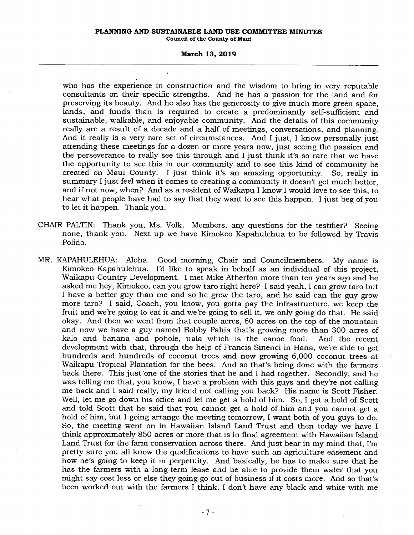# **PLANNING AND SUSTAINABLE LAND USE COMMITTEE MINUTES**

**Council of the County of Maui** 

## **March 13, 2019**

who has the experience in construction and the wisdom to bring in very reputable consultants on their specific strengths. And he has a passion for the land and for preserving its beauty. And he also has the generosity to give much more green space, lands, and funds than is required to create a predominantly self-sufficient and sustainable, walkable, and enjoyable community. And the details of this community really are a result of a decade and a half of meetings, conversations, and planning. And it really is a very rare set of circumstances. And I just, I know personally just attending these meetings for a dozen or more years now, just seeing the passion and the perseverance to really see this through and I just think it's so rare that we have the opportunity to see this in our community and to see this kind of community be created on Maui County. I just think it's an amazing opportunity. So, really in summary I just feel when it comes to creating a community it doesn't get much better, and if not now, when? And as a resident of Waikapu I know I would love to see this, to hear what people have had to say that they want to see this happen. I just beg of you to let it happen. Thank you.

- CHAIR PALTIN: Thank you, Ms. Volk. Members, any questions for the testifier? Seeing none, thank you. Next up we have Kimokeo Kapahulehua to be followed by Travis Polido.
- MR. KAPAHULEHUA: Aloha. Good morning, Chair and Councilmembers. My name is Kimokeo Kapahulehua. I'd like to speak in behalf as an individual of this project, Waikapu Country Development. I met Mike Atherton more than ten years ago and he asked me hey, Kimokeo, can you grow taro right here? I said yeah, I can grow taro but I have a better guy than me and so he grew the taro, and he said can the guy grow more taro? I said, Coach, you know, you gotta pay the infrastructure, we keep the fruit and we're going to eat it and we're going to sell it, we only going do that. He said okay. And then we went from that couple acres, 60 acres on the top of the mountain and now we have a guy named Bobby Pahia that's growing more than 300 acres of kalo and banana and pohole, uala which is the canoe food. And the recent development with that, through the help of Francis Sinenci in Hana, we're able to get hundreds and hundreds of coconut trees and now growing 6,000 coconut trees at Waikapu Tropical Plantation for the bees. And so that's being done with the farmers back there. This just one of the stories that he and I had together. Secondly, and he was telling me that, you know, I have a problem with this guys and they're not calling me back and I said really, my friend not calling you back? His name is Scott Fisher. Well, let me go down his office and let me get a hold of him. So, I got a hold of Scott and told Scott that he said that you cannot get a hold of him and you cannot get a hold of him, but I going arrange the meeting tomorrow, I want both of you guys to do. So, the meeting went on in Hawaiian Island Land Trust and then today we have I think approximately 850 acres or more that is in final agreement with Hawaiian Island Land Trust for the farm conservation across there. And just bear in my mind that, I'm pretty sure you all know the qualifications to have such an agriculture easement and how he's going to keep it in perpetuity. And basically, he has to make sure that he has the farmers with a long-term lease and be able to provide them water that you might say cost less or else they going go out of business if it costs more. And so that's been worked out with the farmers I think, I don't have any black and white with me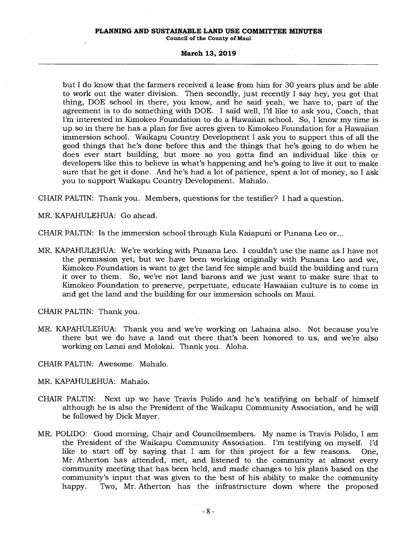## **PLANNING AND SUSTAINABLE LAND USE COMMITTEE MINUTES**

**Council of the County of Maui** 

#### **March 13, 2019**

but I do know that the farmers received a lease from him for 30 years plus and be able to work out the water division. Then secondly, just recently I say hey, you got that thing, DOE school in there, you know, and he said yeah, we have to, part of the agreement is to do something with DOE. I said well, I'd like to ask you, Coach, that I'm interested in Kimokeo Foundation to do a Hawaiian school. So, I know my time is up so in there he has a plan for five acres given to Kimokeo Foundation for a Hawaiian immersion school. Waikapu Country Development I ask you to support this of all the good things that he's done before this and the things that he's going to do when he does ever start building, but more so you gotta find an individual like this or developers like this to believe in what's happening and he's going to live it out to make sure that he get it done. And he's had a lot of patience, spent a lot of money, so I ask you to support Waikapu Country Development. Mahalo.

CHAIR PALTIN: Thank you. Members, questions for the testifier? I had a question.

MR. KAPAHULEHUA: Go ahead.

CHAIR PALTIN: Is the immersion school through Kula Kaiapuni or Punana Leo or...

MR. KAPAHULEHUA: We're working with Punana Leo. I couldn't use the name as I have not the permission yet, but we have been working originally with Punana Leo and we, Kimokeo Foundation is want to get the land fee simple and build the building and turn it over to them. So, we're not land barons and we just want to make sure that to Kimokeo Foundation to preserve, perpetuate, educate Hawaiian culture is to come in and get the land and the building for our immersion schools on Maui.

CHAIR PALTIN: Thank you.

MR. KAPAHULEHUA: Thank you and we're working on Lahaina also. Not because you're there but we do have a land out there that's been honored to us, and we're also working on Lanai and Molokai. Thank you. Aloha.

CHAIR PALTIN: Awesome. Mahalo.

MR. KAPAHULEHUA: Mahalo.

- CHAIR PALTIN: Next up we have Travis Polido and he's testifying on behalf of himself although he is also the President of the Waikapu Community Association, and he will be followed by Dick Mayer.
- MR. POLIDO: Good morning, Chair and Councilmembers. My name is Travis Polido, I am the President of the Waikapu Community Association. I'm testifying on myself. I'd like to start off by saying that I am for this project for a few reasons. One, Mr. Atherton has attended, met, and listened to the community at almost every community meeting that has been held, and made changes to his plans based on the community's input that was given to the best of his ability to make the community happy. Two, Mr. Atherton has the infrastructure down where the proposed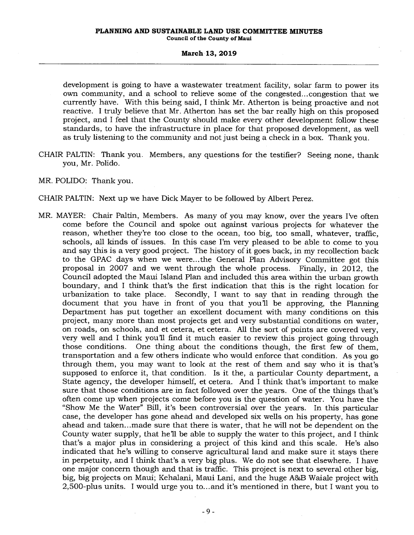development is going to have a wastewater treatment facility, solar farm to power its own community, and a school to relieve some of the congested... congestion that we currently have. With this being said, I think Mr. Atherton is being proactive and not reactive. I truly believe that Mr. Atherton has set the bar really high on this proposed project, and I feel that the County should make every other development follow these standards, to have the infrastructure in place for that proposed development, as well as truly listening to the community and not just being a check in a box. Thank you.

- CHAIR PALTIN: Thank you. Members, any questions for the testifier? Seeing none, thank you, Mr. Polido.
- MR. POLIDO: Thank you.
- CHAIR PALTIN: Next up we have Dick Mayer to be followed by Albert Perez.
- MR. MAYER: Chair Paltin, Members. As many of you may know, over the years I've often come before the Council and spoke out against various projects for whatever the reason, whether they're too close to the ocean, too big, too small, whatever, traffic, schools, all kinds of issues. In this case I'm very pleased to be able to come to you and say this is a very good project. The history of it goes back, in my recollection back to the GPAC days when we were... the General Plan Advisory Committee got this proposal in 2007 and we went through the whole process. Finally, in 2012, the Council adopted the Maui Island Plan and included this area within the urban growth boundary, and I think that's the first indication that this is the right location for Secondly, I want to say that in reading through the document that you have in front of you that you'll be approving, the Planning Department has put together an excellent document with many conditions on this project, many more than most projects get and very substantial conditions on water, on roads, on schools, and et cetera, et cetera. All the sort of points are covered very, very well and I think you'll find it much easier to review this project going through those conditions. One thing about the conditions though, the first few of them, transportation and a few others indicate who would enforce that condition. As you go through them, you may want to look at the rest of them and say who it is that's supposed to enforce it, that condition. Is it the, a particular County department, a State agency, the developer himself, et cetera. And I think that's important to make sure that those conditions are in fact followed over the years. One of the things that's often come up when projects come before you is the question of water. You have the "Show Me the Water" Bill, it's been controversial over the years. In this particular case, the developer has gone ahead and developed six wells on his property, has gone ahead and taken...made sure that there is water, that he will not be dependent on the County water supply, that he'll be able to supply the water to this project, and I think that's a major plus in considering a project of this kind and this scale. He's also indicated that he's willing to conserve agricultural land and make sure it stays there in perpetuity, and I think that's a very big plus. We do not see that elsewhere. I have one major concern though and that is traffic. This project is next to several other big, big, big projects on Maui; Kehalani, Maui Lani, and the huge A&B Waiale project with 2,500-plus units. I would urge you to...and it's mentioned in there, but I want you to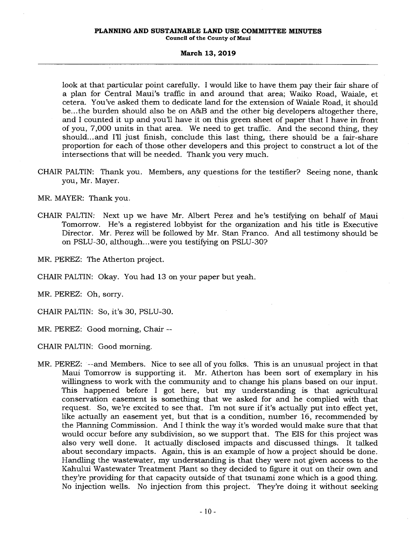#### **PLANNING AND SUSTAINABLE LAND USE COMMITTEE MINUTES Council of the County of Maui**

#### **March 13, 2019**

look at that particular point carefully. I would like to have them pay their fair share of a plan for Central Maui's traffic in and around that area; Waiko Road, Waiale, et cetera. You've asked them to dedicate land for the extension of Waiale Road, it should be...the burden should also be on A&B and the other big developers altogether there, and I counted it up and you'll have it on this green sheet of paper that I have in front of you, 7,000 units in that area. We need to get traffic. And the second thing, they should...and I'll just finish, conclude this last thing, there should be a fair-share proportion for each of those other developers and this project to construct a lot of the intersections that will be needed. Thank you very much.

CHAIR PALTIN: Thank you. Members, any questions for the testifier? Seeing none, thank you, Mr. Mayer.

MR. MAYER: Thank you.

CHAIR PALTIN: Next up we have Mr. Albert Perez and he's testifying on behalf of Maui Tomorrow. He's a registered lobbyist for the organization and his title is Executive Director. Mr. Perez will be followed by Mr. Stan Franco. And all testimony should be on PSLU-30, although...were you testifying on PSLU-30?

MR. PEREZ: The Atherton project.

CHAIR PALTIN: Okay. You had 13 on your paper but yeah.

MR. PEREZ: Oh, sorry.

CHAIR PALTIN: So, it's 30, PSLU-30.

MR. PEREZ: Good morning, Chair --

CHAIR PALTIN: Good morning.

MR. PEREZ: --and Members. Nice to see all of you folks. This is an unusual project in that Maui Tomorrow is supporting it. Mr. Atherton has been sort of exemplary in his willingness to work with the community and to change his plans based on our input. This happened before I got here, but my understanding is that agricultural conservation easement is something that we asked for and he complied with that request. So, we're excited to see that. I'm not sure if it's actually put into effect yet, like actually an easement yet, but that is a condition, number 16, recommended by the Planning Commission. And I think the way it's worded would make sure that that would occur before any subdivision, so we support that. The EIS for this project was also very well done. It actually disclosed impacts and discussed things. It talked about secondary impacts. Again, this is an example of how a project should be done. Handling the wastewater, my understanding is that they were not given access to the Kahului Wastewater Treatment Plant so they decided to figure it out on their own and they're providing for that capacity outside of that tsunami zone which is a good thing. No injection wells. No injection from this project. They're doing it without seeking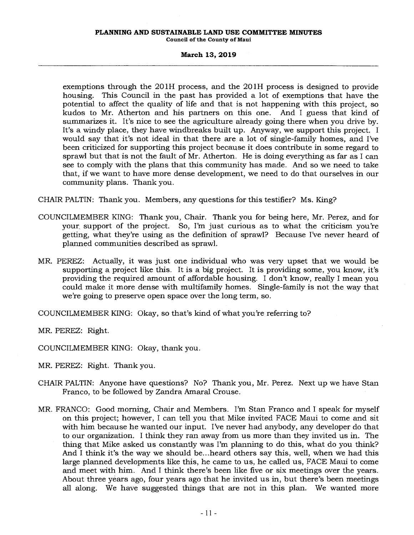exemptions through the 201H process, and the 201H process is designed to provide housing. This Council in the past has provided a lot of exemptions that have the potential to affect the quality of life and that is not happening with this project, so kudos to Mr. Atherton and his partners on this one. And I guess that kind of summarizes it. It's nice to see the agriculture already going there when you drive by. It's a windy place, they have windbreaks built up. Anyway, we support this project. I would say that it's not ideal in that there are a lot of single-family homes, and I've been criticized for supporting this project because it does contribute in some regard to sprawl but that is not the fault of Mr. Atherton. He is doing everything as far as I can see to comply with the plans that this community has made. And so we need to take that, if we want to have more dense development, we need to do that ourselves in our community plans. Thank you.

CHAIR PALTIN: Thank you. Members, any questions for this testifier? Ms. King?

- COUNCILMEMBER KING: Thank you, Chair. Thank you for being here, Mr. Perez, and for your, support of the project. So, I'm just curious as to what the criticism you're getting, what they're using as the definition of sprawl? Because I've never heard of planned communities described as sprawl.
- MR. PEREZ: Actually, it was just one individual who was very upset that we would be supporting a project like this. It is a big project. It is providing some, you know, it's providing the required amount of affordable housing. I don't know, really I mean you could make it more dense with multifamily homes. Single-family is not the way that we're going to preserve open space over the long term, so.

COUNCILMEMBER KING: Okay, so that's kind of what you're referring to?

MR. PEREZ: Right.

COUNCILMEMBER KING: Okay, thank you.

MR. PEREZ: Right. Thank you.

- CHAIR PALTIN: Anyone have questions? No? Thank you, Mr. Perez. Next up we have Stan Franco, to be followed by Zandra Amaral Crouse.
- MR. FRANCO: Good morning, Chair and Members. I'm Stan Franco and I speak for myself on this project; however, I can tell you that Mike invited FACE Maui to come and sit with him because he wanted our input. I've never had anybody, any developer do that to our organization. I think they ran away from us more than they invited us in. The thing that Mike asked us constantly was I'm planning to do this, what do you think? And I think it's the way we should be...heard others say this, well, when we had this large planned developments like this, he came to us, he called us, FACE Maui to come and meet with him. And I think there's been like five or six meetings over the years. About three years ago, four years ago that he invited us in, but there's been meetings all along. We have suggested things that are not in this plan. We wanted more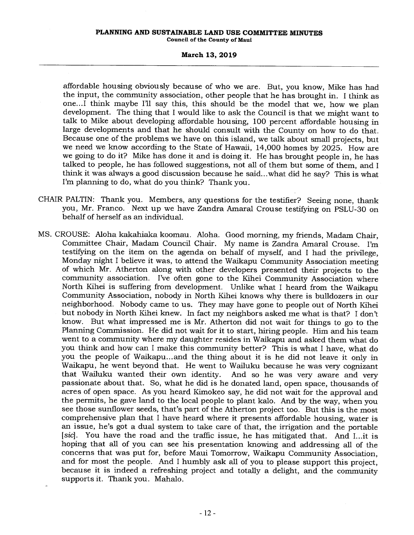#### **PLANNING AND SUSTAINABLE LAND USE COMMITTEE MINUTES Council of the County of Maui**

### **March 13, 2019**

affordable housing obviously because of who we are. But, you know, Mike has had the input, the community association, other people that he has brought in. I think as one...I think maybe I'll say this, this should be the model that we, how we plan development. The thing that I would like to ask the Council is that we might want to talk to Mike about developing affordable housing, 100 percent affordable housing in large developments and that he should consult with the County on how to do that. Because one of the problems we have on this island, we talk about small projects, but we need we know according to the State of Hawaii, 14,000 homes by 2025. How are we going to do it? Mike has done it and is doing it. He has brought people in, he has talked to people, he has followed suggestions, not all of them but some of them, and I think it was always a good discussion because he said...what did he say? This is what I'm planning to do, what do you think? Thank you.

- CHAIR PALTIN: Thank you. Members, any questions for the testifier? Seeing none, thank you, Mr. Franco. Next up we have Zandra Amaral Crouse testifying on PSLU-30 on behalf of herself as an individual.
- MS. CROUSE: Aloha kakahiaka koomau. Aloha. Good morning, my friends, Madam Chair, Committee Chair, Madam Council Chair. My name is Zandra Amaral Crouse. I'm testifying on the item on the agenda on behalf of myself, and I had the privilege, Monday night I believe it was, to attend the Waikapu Community Association meeting of which Mr. Atherton along with other developers presented their projects to the community association. I've often gone to the Kihei Community Association where North Kihei is suffering from development. Unlike what I heard from the Waikapu Community Association, nobody in North Kihei knows why there is bulldozers in our neighborhood. Nobody came to us. They may have gone to people out of North Kihei but nobody in North Kihei knew. In fact my neighbors asked me what is that? I don't know. But what impressed me is Mr. Atherton did not wait for things to go to the Planning Commission. He did not wait for it to start, hiring people. Him and his team went to a community where my daughter resides in Waikapu and asked them what do you think and how can I make this community better? This is what I have, what do you the people of Waikapu... and the thing about it is he did not leave it only in Waikapu, he went beyond that. He went to Wailuku because he was very cognizant And so he was very aware and very passionate about that. So, what he did is he donated land, open space, thousands of acres of open space. As you heard Kimokeo say, he did not wait for the approval and the permits, he gave land to the local people to plant kalo. And by the way, when you see those sunflower seeds, that's part of the Atherton project too. But this is the most comprehensive plan that I have heard where it presents affordable housing, water is an issue, he's got a dual system to take care of that, the irrigation and the portable *[sic].* You have the road and the traffic issue, he has mitigated that. And I...it is hoping that all of you can see his presentation knowing and addressing all of the concerns that was put for, before Maui Tomorrow, Waikapu Community Association, and for most the people. And I humbly ask all of you to please support this project, because it is indeed a refreshing project and totally a delight, and the community supports it. Thank you. Mahalo.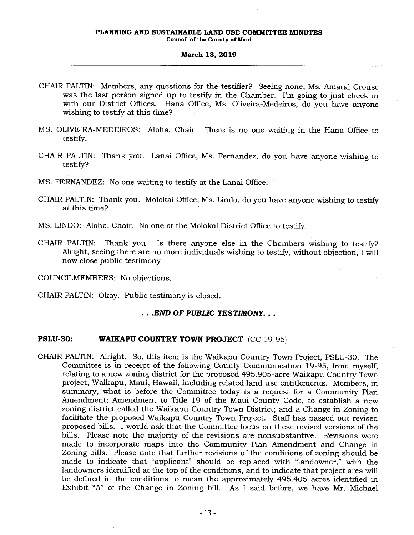- CHAIR PALTIN: Members, any questions for the testifier? Seeing none, Ms. Amaral Crouse was the last person signed up to testify in the Chamber. I'm going to just check in with our District Offices. Hana Office, Ms. Oliveira-Medeiros, do you have anyone wishing to testify at this time?
- MS. OLIVEIRA-MEDEIROS: Aloha, Chair. There is no one waiting in the Hana Office to testify.
- CHAIR PALTIN: Thank you. Lanai Office, Ms. Fernandez, do you have anyone wishing to testify?

MS. FERNANDEZ: No one waiting to testify at the Lanai Office.

- CHAIR PALTIN: Thank you. Molokai Office, Ms. Lindo, do you have anyone wishing to testify at this time?
- MS. UNDO: Aloha, Chair. No one at the Molokai District Office to testify.
- CHAIR PALTIN: Thank you. Is there anyone else in the Chambers wishing to testify? Alright, seeing there are no more individuals wishing to testify, without objection, I will now close public testimony.

COUNCILMEMBERS: No objections.

CHAIR PALTIN: Okay. Public testimony is closed.

## . . *.END OF PUBLIC TESTIMONY.. .*

## **PSLU-30: WAIKAPU COUNTRY TOWN PROJECT** (CC 19-95)

CHAIR PALTIN: Alright. So, this item is the Waikapu Country Town Project, PSLU-30. The Committee is in receipt of the following County Communication 19-95, from myself, relating to a new zoning district for the proposed 495.905-acre Waikapu Country Town project, Waikapu, Maui, Hawaii, including related land use entitlements. Members, in summary, what is before the Committee today is a request for a Community Plan Amendment; Amendment to Title 19 of the Maui County Code, to establish a new zoning district called the Waikapu Country Town District; and a Change in Zoning to facilitate the proposed Waikapu Country Town Project. Staff has passed out revised proposed bills. I would ask that the Committee focus on these revised versions of the bills. Please note the majority of the revisions are nonsubstantive. Revisions were made to incorporate maps into the Community Plan Amendment and Change in Zoning bills. Please note that further revisions of the conditions of zoning should be made to indicate that "applicant" should be replaced with "landowner," with the landowners identified at the top of the conditions, and to indicate that project area will be defined in the conditions to mean the approximately 495.405 acres identified in Exhibit "A" of the Change in Zoning bill. As I said before, we have Mr. Michael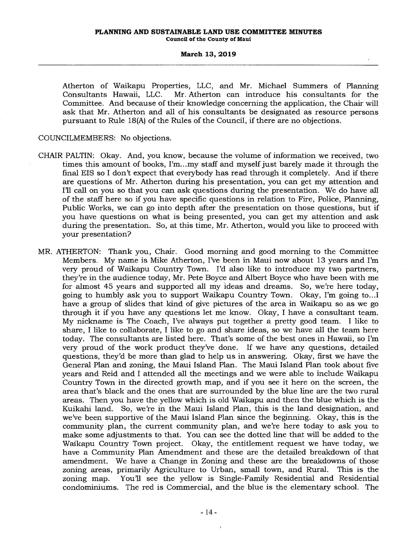Atherton of Waikapu Properties, LLC, and Mr. Michael Summers of Planning Mr. Atherton can introduce his consultants for the Committee. And because of their knowledge concerning the application, the Chair will ask that Mr. Atherton and all of his consultants be designated as resource persons pursuant to Rule 18(A) of the Rules of the Council, if there are no objections.

COUNCILMEMBERS: No objections.

- CHAIR PALTIN: Okay. And, you know, because the volume of information we received, two times this amount of books, I'm...my staff and myself just barely made it through the final EIS so I don't expect that everybody has read through it completely. And if there are questions of Mr. Atherton during his presentation, you can get my attention and 11.1 call on you so that you can ask questions during the presentation. We do have all of the staff here so if you have specific questions in relation to Fire, Police, Planning, Public Works, we can go into depth after the presentation on those questions, but if you have questions on what is being presented, you can get my attention and ask during the presentation. So, at this time, Mr. Atherton, would you like to proceed with your presentation?
- MR. ATHERTON: Thank you, Chair. Good morning and good morning to the Committee Members. My name is Mike Atherton, I've been in Maui now about 13 years and I'm very proud of Waikapu Country Town. I'd also like to introduce my two partners, they're in the audience today, Mr. Pete Boyce and Albert Boyce who have been with me for almost 45 years and supported all my ideas and dreams. So, we're here today, going to humbly ask you to support Waikapu Country Town. Okay, I'm going to...I have a group of slides that kind of give pictures of the area in Waikapu so as we go through it if you have any questions let me know. Okay, I have a consultant team. My nickname is The Coach, I've always put together a pretty good team. I like to share, I like to collaborate, I like to go and share ideas, so we have all the team here today. The consultants are listed here. That's some of the best ones in Hawaii, so I'm very proud of the work product they've done. If we have any questions, detailed questions, they'd be more than glad to help us in answering. Okay, first we have the General Plan and zoning, the Maui Island Plan. The Maui Island Plan took about five years and Reid and I attended all the meetings and we were able to include Waikapu Country Town in the directed growth map, and if you see it here on the screen, the area that's black and the ones that are surrounded by the blue line are the two rural areas. Then you have the yellow which is old Waikapu and then the blue which is the Kuikahi land. So, we're in the Maui Island Plan, this is the land designation, and we've been supportive of the Maui Island Plan since the beginning. Okay, this is the community plan, the current community plan, and we're here today to ask you to make some adjustments to that. You can see the dotted line that will be added to the Waikapu Country Town project. Okay, the entitlement request we have today, we have a Community Plan Amendment and these are the detailed breakdown of that amendment. We have a Change in Zoning and these are the breakdowns of those zoning areas, primarily Agriculture to Urban, small town, and Rural. This is the zoning map. You'll see the yellow is Single-Family Residential and Residential condominiums. The red is Commercial, and the blue is the elementary school. The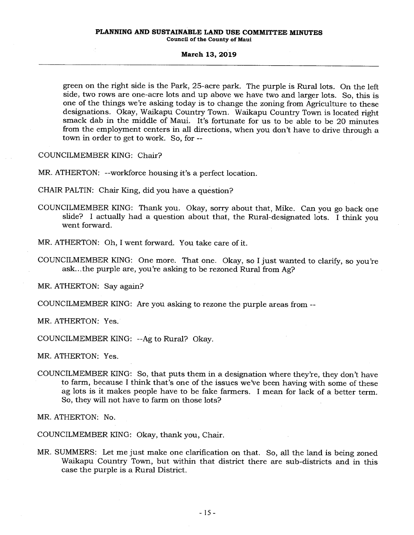green on the right side is the Park, 25-acre park. The purple is Rural lots. On the left side, two rows are one-acre lots and up above we have two and larger lots. So, this is one of the things we're asking today is to change the zoning from Agriculture to these designations. Okay, Waikapu Country Town. Waikapu Country Town is located right smack dab in the middle of Maui. It's fortunate for us to be able to be 20 minutes from the employment centers in all directions, when you don't have to drive through a town in order to get to work. So, for --

COUNCILMEMBER KING: Chair?

MR. ATHERTON: --workforce housing it's a perfect location.

CHAIR PALTIN: Chair King, did you have a question?

COUNCILMEMBER KING: Thank you. Okay, sorry about that, Mike. Can you go back one slide? I actually had a question about that, the Rural-designated lots. I think you went forward.

MR. ATHERTON: Oh, I went forward. You take care of it.

COUNCILMEMBER KING: One more. That one. Okay, so I just wanted to clarify, so you're ask...the purple are, you're asking to be rezoned Rural from Ag?

MR. ATHERTON: Say again?

COUNCILMEMBER KING: Are you asking to rezone the purple areas from --

MR. ATHERTON: Yes.

COUNCILMEMBER KING: --Ag to Rural? Okay.

MR. ATHERTON: Yes.

COUNCILMEMBER KING: So, that puts them in a designation where they're, they don't have to farm, because I think that's one of the issues we've been having with some of these ag lots is it makes people have to be fake farmers. I mean for lack of a better term. So, they will not have to farm on those lots?

MR. ATHERTON: No.

COUNCILMEMBER KING: Okay, thank you, Chair.

MR. SUMMERS: Let me just make one clarification on that. So, all the land is being zoned Waikapu Country Town, but within that district there are sub-districts and in this case the purple is a Rural District.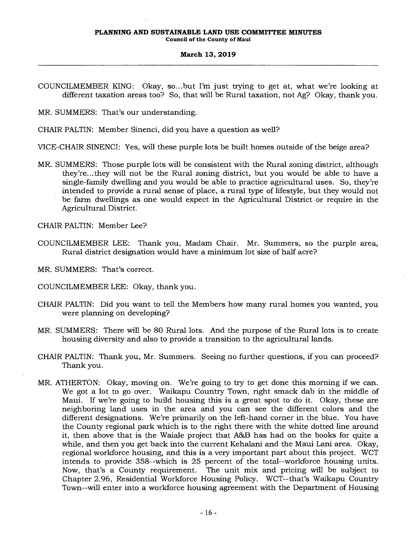MR. SUMMERS: That's our understanding.

CHAIR PALTIN: Member Sinenci, did you have a question as well?

VICE-CHAIR SINENCI: Yes, will these purple lots be built homes outside of the beige area?

MR. SUMMERS: Those purple lots will be consistent with the Rural zoning district, although they're...they will not be the Rural zoning district, but you would be able to have a single-family dwelling and you would be able to practice agricultural uses. So, they're intended to provide a rural sense of place, a rural type of lifestyle, but they would not be farm dwellings as one would expect in the Agricultural District or require in the Agricultural District.

CHAIR PALTIN: Member Lee?

COUNCILMEMBER LEE: Thank you, Madam Chair. Mr. Summers, so the purple area, Rural district designation would have a minimum lot size of half acre?

MR. SUMMERS: That's correct.

- COUNCILMEMBER LEE: Okay, thank you.
- CHAIR PALTIN: Did you want to tell the Members how many rural homes you wanted, you were planning on developing?
- MR. SUMMERS: There will be 80 Rural lots. And the purpose of the Rural lots is to create housing diversity and also to provide a transition to the agricultural lands.
- CHAIR PALTIN: Thank you, Mr. Summers. Seeing no further questions, if you can proceed? Thank you.
- MR. ATHERTON: Okay, moving on. We're going to try to get done this morning if we can. We got a lot to go over. Waikapu Country Town, right smack dab in the middle of Maui. If we're going to build housing this is a great spot to do it. Okay, these are neighboring land uses in the area and you can see the different colors and the different designations. We're primarily on the left-hand corner in the blue. You have the County regional park which is to the right there with the white dotted line around it, then above that is the Waiale project that A&B has had on the books for quite a while, and then you get back into the current Kehalani and the Maui Lani area. Okay, regional workforce housing, and this is a very important part about this project. WCT intends to provide 358--which is 25 percent of the total—workforce housing units. Now, that's a County requirement. The unit mix and pricing will be subject to Chapter 2.96, Residential Workforce Housing Policy. WCT--that's Waikapu Country Town--will enter into a workforce housing agreement with the Department of Housing

COUNCILMEMBER KING: Okay, so...but I'm just trying to get at, what we're looking at different taxation areas too? So, that will be Rural taxation, not Ag? Okay, thank you.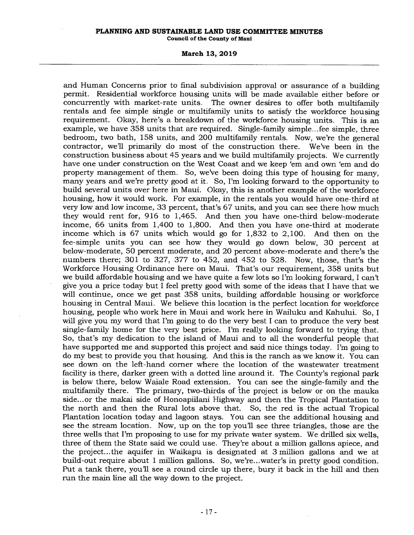## **PLANNING AND SUSTAINABLE LAND USE COMMITTEE MINUTES**

**Council of the County of Maui** 

#### **March 13, 2019**

and Human Concerns prior to final subdivision approval or assurance of a building permit. Residential workforce housing units will be made available either before or concurrently with market-rate units. The owner desires to offer both multifamily rentals and fee simple single or multifamily units to satisfy the workforce housing requirement. Okay, here's a breakdown of the workforce housing units. This is an example, we have 358 units that are required. Single-family simple...fee simple, three bedroom, two bath, 158 units, and 200 multifamily rentals. Now, we're the general contractor, we'll primarily do most of the construction there. We've been in the construction business about 45 years and we build multifamily projects. We currently have one under construction on the West Coast and we keep 'em and own 'em and do property management of them. So, we've been doing this type of housing for many, many years and we're pretty good at it. So, I'm looking forward to the opportunity to build several units over here in Maui. Okay, this is another example of the workforce housing, how it would work. For example, in the rentals you would have one-third at very low and low income, 33 percent, that's 67 units, and you can see there how much they would rent for, 916 to 1,465. And then you have one-third below-moderate income, 66 units from 1,400 to 1,800. And then you have one-third at moderate income which is 67 units which would go for 1,832 to 2,100. And then on the fee-simple units you can see how they would go down below, 30 percent at below-moderate, 50 percent moderate, and 20 percent above-moderate and there's the numbers there; 301 to 327, 377 to 452, and 452 to 528. Now, those, that's the Workforce Housing Ordinance here on Maui. That's our requirement, 358 units but we build affordable housing and we have quite a few lots so I'm looking forward, I can't give you a price today but I feel pretty good with some of the ideas that I have that we will continue, once we get past 358 units, building affordable housing or workforce housing in Central Maui. We believe this location is the perfect location for workforce housing, people who work here in Maui and work here in Wailuku and Kahului. So, I will give you my word that I'm going to do the very best I can to produce the very best single-family home for the very best price. I'm really looking forward to trying that. So, that's my dedication to the island of Maui and to all the wonderful people that have supported me and supported this project and said nice things today. I'm going to do my best to provide you that housing. And this is the ranch as we know it. You can see down on the left-hand corner where the location of the wastewater treatment facility is there, darker green with a dotted line around it. The County's regional park is below there, below Waiale Road extension. You can see the single-family and the multifamily there. The primary, two-thirds of the project is below or on the mauka side... or the makai side of Honoapiilani Highway and then the Tropical Plantation to the north and then the Rural lots above that. So, the red is the actual Tropical Plantation location today and lagoon stays. You can see the additional housing and see the stream location. Now, up on the top you'll see three triangles, those are the three wells that I'm proposing to use for my private water system. We drilled six wells, three of them the State said we could use. They're about a million gallons apiece, and the project...the aquifer in Waikapu is designated at 3 million gallons and we at build-out require about 1 million gallons. So, we're...water's in pretty good condition. Put a tank there, you'll see a round circle up there, bury it back in the hill and then run the main line all the way down to the project.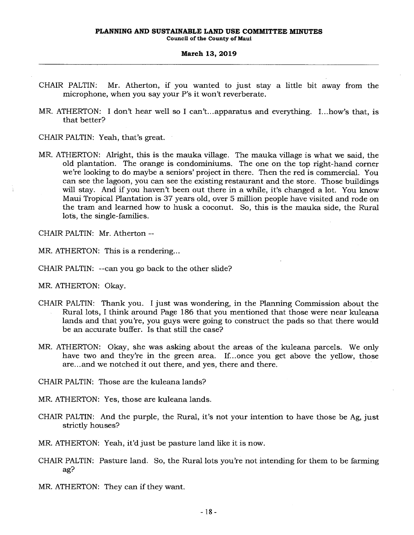- CHAIR PALTIN: Mr. Atherton, if you wanted to just stay a little bit away from the microphone, when you say your P's it won't reverberate.
- MR. ATHERTON: I don't hear well so I can't...apparatus and everything. I...how's that, is that better?

CHAIR PALTIN: Yeah, that's great.

MR. ATHERTON: Alright, this is the mauka village. The mauka village is what we said, the old plantation. The orange is condominiums. The one on the top right-hand corner we're looking to do maybe a seniors' project in there. Then the red is commercial. You can see the lagoon, you can see the existing restaurant and the store. Those buildings will stay. And if you haven't been out there in a while, it's changed a lot. You know Maui Tropical Plantation is 37 years old, over 5 million people have visited and rode on the tram and learned how to husk a coconut. So, this is the mauka side, the Rural lots, the single-families.

CHAIR PALTIN: Mr. Atherton --

MR. ATHERTON: This is a rendering...

CHAIR PALTIN: --can you go back to the other slide?

MR. ATHERTON: Okay.

- CHAIR PALTIN: Thank you. I just was wondering, in the Planning Commission about the Rural lots, I think around Page 186 that you mentioned that those were near kuleana lands and that you're, you guys were going to construct the pads so that there would be an accurate buffer. Is that still the case?
- MR. ATHERTON: Okay, she was asking about the areas of the kuleana parcels. We only have two and they're in the green area. If...once you get above the yellow, those are... and we notched it out there, and yes, there and there.
- CHAIR PALTIN: Those are the kuleana lands?

MR. ATHERTON: Yes, those are kuleana lands.

CHAIR PALTIN: And the purple, the Rural, it's not your intention to have those be Ag, just strictly houses?

MR. ATHERTON: Yeah, it'd just be pasture land like it is now.

CHAIR PALTIN: Pasture land. So, the Rural lots you're not intending for them to be farming ag?

MR. ATHERTON: They can if they want.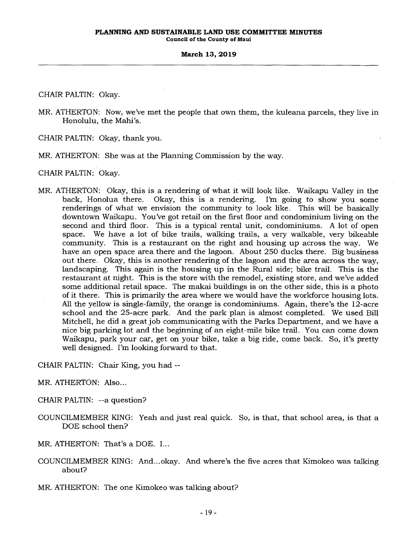CHAIR PALTIN: Okay.

MR. ATHERTON: Now, we've met the people that own them, the kuleana parcels, they live in Honolulu, the Mahi's.

CHAIR PALTIN: Okay, thank you.

MR. ATHERTON: She was at the Planning Commission by the way.

CHAIR PALTIN: Okay.

MR. ATHERTON: Okay, this is a rendering of what it will look like. Waikapu Valley in the back, Honolua there. Okay, this is a rendering. I'm going to show you some renderings of what we envision the community to look like. This will be basically downtown Waikapu. You've got retail on the first floor and condominium living on the second and third floor. This is a typical rental unit, condominiums. A lot of open space. We have a lot of bike trails, walking trails, a very walkable, very bikeable community. This is a restaurant on the right and housing up across the way. We have an open space area there and the lagoon. About 250 ducks there. Big business out there. Okay, this is another rendering of the lagoon and the area across the way, landscaping. This again is the housing up in the Rural side; bike trail. This is the restaurant at night. This is the store with the remodel, existing store, and we've added some additional retail space. The makai buildings is on the other side, this is a photo of it there. This is primarily the area where we would have the workforce housing lots. All the yellow is single-family, the orange is condominiums. Again, there's the 12-acre school and the 25-acre park. And the park plan is almost completed. We used Bill Mitchell, he did a great job communicating with the Parks Department, and we have a nice big parking lot and the beginning of an eight-mile bike trail. You can come down Waikapu, park your car, get on your bike, take a big ride, come back. So, it's pretty well designed. I'm looking forward to that.

CHAIR PALTIN: Chair King, you had --

MR. ATHERTON: Also...

CHAIR PALTIN: --a question?

- COUNCILMEMBER KING: Yeah and just real quick. So, is that, that school area, is that a DOE school then?
- MR. ATHERTON: That's a DOE. I...
- COUNCILMEMBER KING: And...okay. And where's the five acres that Kimokeo was talking about?
- MR. ATHERTON: The one Kimokeo was talking about?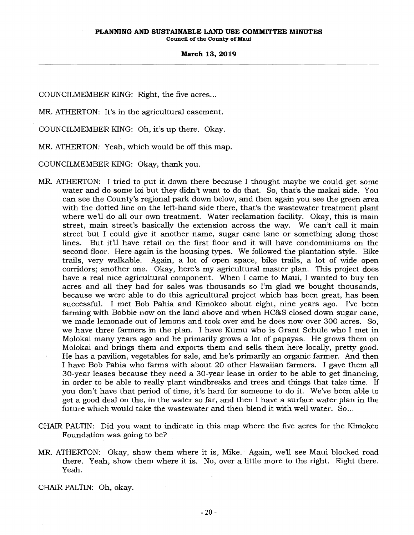**Council of the County of Maui** 

#### **March 13, 2019**

COUNCILMEMBER KING: Right, the five acres...

MR. ATHERTON: It's in the agricultural easement.

COUNCILMEMBER KING: Oh, it's up there. Okay.

MR. ATHERTON: Yeah, which would be off this map.

COUNCILMEMBER KING: Okay, thank you.

- MR. ATHERTON: I tried to put it down there because I thought maybe we could get some water and do some loi but they didn't want to do that. So, that's the makai side. You can see the County's regional park down below, and then again you see the green area with the dotted line on the left-hand side there, that's the wastewater treatment plant where we'll do all our own treatment. Water reclamation facility. Okay, this is main street, main street's basically the extension across the way. We can't call it main street but I could give it another name, sugar cane lane or something along those lines. But it'll have retail on the first floor and it will have condominiums on the second floor. Here again is the housing types. We followed the plantation style. Bike trails, very walkable. Again, a lot of open space, bike trails, a lot of wide open corridors; another one. Okay, here's my agricultural master plan. This project does have a real nice agricultural component. When I came to Maui, I wanted to buy ten acres and all they had for sales was thousands so I'm glad we bought thousands, because we were able to do this agricultural project which has been great, has been successful. I met Bob Pahia and Kimokeo about eight, nine years ago. I've been farming with Bobbie now on the land above and when HC&S closed down sugar cane, we made lemonade out of lemons and took over and he does now over 300 acres. So, we have three farmers in the plan. I have Kumu who is Grant Schule who I met in Molokai many years ago and he primarily grows a lot of papayas. He grows them on Molokai and brings them and exports them and sells them here locally, pretty good. He has a pavilion, vegetables for sale, and he's primarily an organic farmer. And then I have Bob Pahia who farms with about 20 other Hawaiian farmers. I gave them all 30-year leases because they need a 30-year lease in order to be able to get financing, in order to be able to really plant windbreaks and trees and things that take time. If you don't have that period of time, it's hard for someone to do it. We've been able to get a good deal on the, in the water so far, and then I have a surface water plan in the future which would take the wastewater and then blend it with well water. So...
- CHAIR PALTIN: Did you want to indicate in this map where the five acres for the Kimokeo Foundation was going to be?
- MR. ATHERTON: Okay, show them where it is, Mike. Again, we'll see Maui blocked road there. Yeah, show them where it is. No, over a little more to the right. Right there. Yeah.

CHAIR PALTIN: Oh, okay.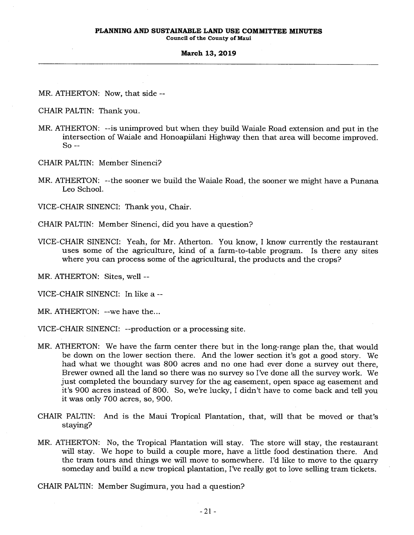**Council of the County of Maui** 

#### **March 13, 2019**

MR. ATHERTON: Now, that side --

CHAIR PALTIN: Thank you.

MR. ATHERTON: --is unimproved but when they build Waiale Road extension and put in the intersection of Waiale and Honoapiilani Highway then that area will become improved. So --

CHAIR PALTIN: Member Sinenci?

MR. ATHERTON: --the sooner we build the Waiale Road, the sooner we might have a Punana Leo School.

VICE-CHAIR SINENCI: Thank you, Chair.

- CHAIR PALTIN: Member Sinenci, did you have a question?
- VICE-CHAIR SINENCI: Yeah, for Mr. Atherton. You know, I know currently the restaurant uses some of the agriculture, kind of a farm-to-table program. Is there any sites where you can process some of the agricultural, the products and the crops?

MR. ATHERTON: Sites, well --

VICE-CHAIR SINENCI: In like a --

MR. ATHERTON: --we have the...

VICE-CHAIR SINENCI: --production or a processing site.

- MR. ATHERTON: We have the farm center there but in the long-range plan the, that would be down on the lower section there. And the lower section it's got a good story. We had what we thought was 800 acres and no one had ever done a survey out there, Brewer owned all the land so there was no survey so I've done all the survey work. We just completed the boundary survey for the ag easement, open space ag easement and it's 900 acres instead of 800. So, we're lucky, I didn't have to come back and tell you it was only 700 acres, so, 900.
- CHAIR PALTIN: And is the Maui Tropical Plantation, that, will that be moved or that's staying?
- MR. ATHERTON: No, the Tropical Plantation will stay. The store will stay, the restaurant will stay. We hope to build a couple more, have a little food destination there. And the tram tours and things we will move to somewhere. I'd like to move to the quarry someday and build a new tropical plantation, I've really got to love selling tram tickets.

CHAIR PALTIN: Member Sugimura, you had a question?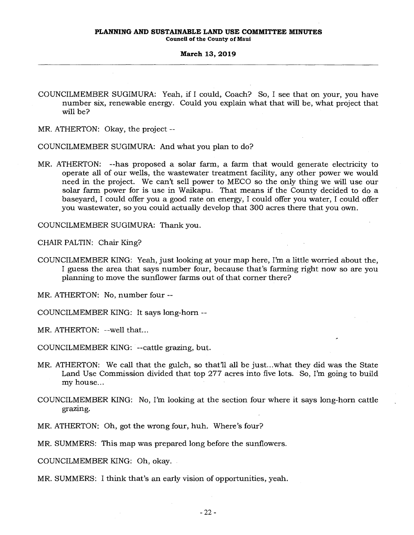COUNCILMEMBER SUGIMURA: Yeah, if I could, Coach? So, I see that on your, you have number six, renewable energy. Could you explain what that will be, what project that will be?

MR. ATHERTON: Okay, the project --

COUNCILMEMBER SUGIMURA: And what you plan to do?

MR. ATHERTON: --has proposed a solar farm, a farm that would generate electricity to operate all of our wells, the wastewater treatment facility, any other power we would need in the project. We can't sell power to MECO so the only thing we will use our solar farm power for is use in Waikapu. That means if the County decided to do a baseyard, I could offer you a good rate on energy, I could offer you water, I could offer you wastewater, so you could actually develop that 300 acres there that you own.

COUNCILMEMBER SUGIMURA: Thank you.

CHAIR PALTIN: Chair King?

COUNCILMEMBER KING: Yeah, just looking at your map here, I'm a little worried about the, I guess the area that says number four, because that's farming right now so are you planning to move the sunflower farms out of that corner there?

MR. ATHERTON: No, number four --

COUNCILMEMBER KING: It says long-horn --

MR. ATHERTON: --well that...

COUNCILMEMBER KING: --cattle grazing, but.

- MR. ATHERTON: We call that the gulch, so that'll all be just...what they did was the State Land Use Commission divided that top 277 acres into five lots. So, I'm going to build my house...
- COUNCILMEMBER KING: No, I'm looking at the section four where it says long-horn cattle grazing.
- MR. ATHERTON: Oh, got the wrong four, huh. Where's four?
- MR. SUMMERS: This map was prepared long before the sunflowers.

COUNCILMEMBER KING: Oh, okay.

MR. SUMMERS: I think that's an early vision of opportunities, yeah.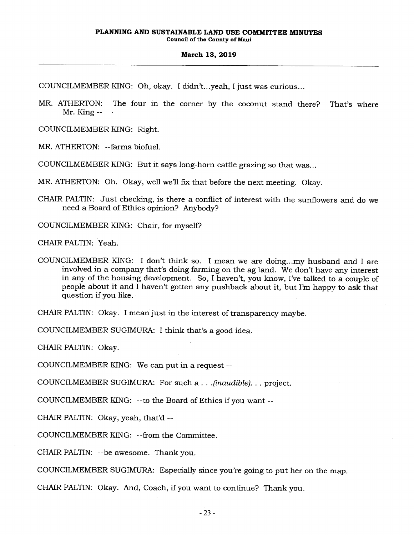COUNCILMEMBER KING: Oh, okay. I didn't...yeah, I just was curious...

MR. ATHERTON: The four in the corner by the coconut stand there? That's where Mr. King  $\leftarrow$ 

COUNCILMEMBER KING: Right.

MR. ATHERTON: --farms biofuel.

COUNCILMEMBER KING: But it says long-horn cattle grazing so that was...

MR. ATHERTON: Oh. Okay, well we'll fix that before the next meeting. Okay.

CHAIR PALTIN: Just checking, is there a conflict of interest with the sunflowers and do we need a Board of Ethics opinion? Anybody?

COUNCILMEMBER KING: Chair, for myself?

CHAIR PALTIN: Yeah.

COUNCILMEMBER KING: I don't think so. I mean we are doing...my husband and I are involved in a company that's doing farming on the ag land. We don't have any interest in any of the housing development. So, I haven't, you know, I've talked to a couple of people about it and I haven't gotten any pushback about it, but I'm happy to ask that question if you like.

CHAIR PALTIN: Okay. I mean just in the interest of transparency maybe.

COUNCILMEMBER SUGIMURA: I think that's a good idea.

CHAIR PALTIN: Okay.

COUNCILMEMBER KING: We can put in a request --

COUNCILMEMBER SUGIMURA: For such a . . *.(inaudible). . .* project.

COUNCILMEMBER KING: --to the Board of Ethics if you want --

CHAIR PALTIN: Okay, yeah, that'd --

COUNCILMEMBER KING: --from the Committee.

CHAIR PALTIN: --be awesome. Thank you.

COUNCILMEMBER SUGIMURA: Especially since you're going to put her on the map.

CHAIR PALTIN: Okay. And, Coach, if you want to continue? Thank you.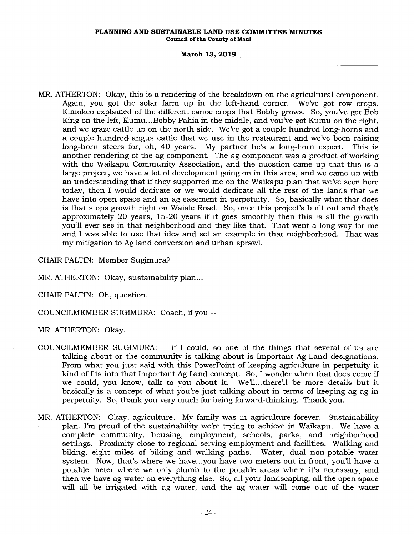# **PLANNING AND SUSTAINABLE LAND USE COMMITTEE MINUTES**

**Council of the County of Maui** 

## **March 13, 2019**

MR. ATHERTON: Okay, this is a rendering of the breakdown on the agricultural component. Again, you got the solar farm up in the left-hand corner. We've got row crops. Kimokeo explained of the different canoe crops that Bobby grows. So, you've got Bob King on the left, Kumu...Bobby Pahia in the middle, and you've got Kumu on the right, and we graze cattle up on the north side. We've got a couple hundred long-horns and a couple hundred angus cattle that we use in the restaurant and we've been raising long-horn steers for, oh, 40 years. My partner he's a long-horn expert. This is another rendering of the ag component. The ag component was a product of working with the Waikapu Community Association, and the question came up that this is a large project, we have a lot of development going on in this area, and we came up with an understanding that if they supported me on the Waikapu plan that we've seen here today, then I would dedicate or we would dedicate all the rest of the lands that we have into open space and an ag easement in perpetuity. So, basically what that does is that stops growth right on Waiale Road. So, once this project's built out and that's approximately 20 years, 15-20 years if it goes smoothly then this is all the growth you'll ever see in that neighborhood and they like that. That went a long way for me and I was able to use that idea and set an example in that neighborhood. That was my mitigation to Ag land conversion and urban sprawl.

CHAIR PALTIN: Member Sugimura?

MR. ATHERTON: Okay, sustainability plan...

CHAIR PALTIN: Oh, question.

COUNCILMEMBER SUGIMURA: Coach, if you --

MR. ATHERTON: Okay.

- COUNCILMEMBER SUGIMURA: --if I could, so one of the things that several of us are talking about or the community is talking about is Important Ag Land designations. From what you just said with this PowerPoint of keeping agriculture in perpetuity it kind of fits into that Important Ag Land concept. So, I wonder when that does come if we could, you know, talk to you about it. We'll... there'll be more details but it basically is a concept of what you're just talking about in terms of keeping ag ag in perpetuity. So, thank you very much for being forward-thinking. Thank you.
- MR. ATHERTON: Okay, agriculture. My family was in agriculture forever. Sustainability plan, I'm proud of the sustainability we're trying to achieve in Waikapu. We have a complete community, housing, employment, schools, parks, and neighborhood settings. Proximity close to regional serving employment and facilities. Walking and biking, eight miles of biking and walking paths. Water, dual non-potable water system. Now, that's where we have...you have two meters out in front, you'll have a potable meter where we only plumb to the potable areas where it's necessary, and then we have ag water on everything else. So, all your landscaping, all the open space will all be irrigated with ag water, and the ag water will come out of the water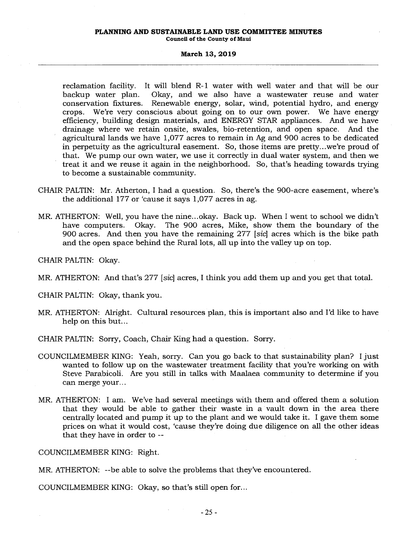# **PLANNING AND SUSTAINABLE LAND USE COMMITTEE MINUTES**

**Council of the County of Maui** 

### **March 13, 2019**

reclamation facility. It will blend R-1 water with well water and that will be our backup water plan. Okay, and we also have a wastewater reuse and water conservation fixtures. Renewable energy, solar, wind, potential hydro, and energy crops. We're very conscious about going on to our own power. We have energy efficiency, building design materials, and ENERGY STAR appliances. And we have drainage where we retain onsite, swales, bio-retention, and open space. And the agricultural lands we have 1,077 acres to remain in Ag and 900 acres to be dedicated in perpetuity as the agricultural easement. So, those items are pretty...we're proud of that. We pump our own water, we use it correctly in dual water system, and then we treat it and we reuse it again in the neighborhood. So, that's heading towards trying to become a sustainable community.

- CHAIR PALTIN: Mr. Atherton, I had a question. So, there's the 900-acre easement, where's the additional 177 or 'cause it says 1,077 acres in ag.
- MR. ATHERTON: Well, you have the nine...okay. Back up. When I went to school we didn't The 900 acres, Mike, show them the boundary of the 900 acres. And then you have the remaining 277 *[sic]* acres which is the bike path and the open space behind the Rural lots, all up into the valley up on top.

CHAIR PALTIN: Okay.

MR. ATHERTON: And that's 277 *[sic]* acres, I think you add them up and you get that total.

CHAIR PALTIN: Okay, thank you.

MR. ATHERTON: Alright. Cultural resources plan, this is important also and I'd like to have help on this but...

CHAIR PALTIN: Sorry, Coach, Chair King had a question. Sorry.

- COUNCILMEMBER KING: Yeah, sorry. Can you go back to that sustainability plan? I just wanted to follow up on the wastewater treatment facility that you're working on with Steve Parabicoli. Are you still in talks with Maalaea community to determine if you can merge your...
- MR. ATHERTON: I am. We've had several meetings with them and offered them a solution that they would be able to gather their waste in a vault down in the area there centrally located and pump it up to the plant and we would take it. I gave them some prices on what it would cost, 'cause they're doing due diligence on all the other ideas that they have in order to --

COUNCILMEMBER KING: Right.

MR. ATHERTON: --be able to solve the problems that they've encountered.

COUNCILMEMBER KING: Okay, so that's still open for...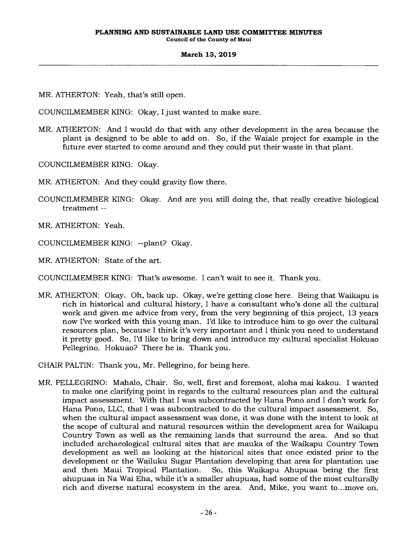MR. ATHERTON: Yeah, that's still open.

COUNCILMEMBER KING: Okay, I just wanted to make sure.

MR. ATHERTON: And I would do that with any other development in the area because the plant is designed to be able to add on. So, if the Waiale project for example in the future ever started to come around and they could put their waste in that plant.

COUNCILMEMBER KING: Okay.

MR. ATHERTON: And they could gravity flow there.

COUNCILMEMBER KING: Okay. And are you still doing the, that really creative biological treatment --

MR. ATHERTON: Yeah.

COUNCILMEMBER KING: --plant? Okay.

MR. ATHERTON: State of the art.

COUNCILMEMBER KING: That's awesome. I can't wait to see it. Thank you.

MR. ATHERTON: Okay. Oh, back up. Okay, we're getting close here. Being that Waikapu is rich in historical and cultural history, I have a consultant who's done all the cultural work and given me advice from very, from the very beginning of this project, 13 years now I've worked with this young man. I'd like to introduce him to go over the cultural resources plan, because I think it's very important and I think you need to understand it pretty good. So, I'd like to bring down and introduce my cultural specialist Hokuao Pellegrino. Hokuao? There he is. Thank you.

CHAIR PALTIN: Thank you, Mr. Pellegrino, for being here.

MR. PELLEGRINO: Mahalo, Chair. So, well, first and foremost, aloha mai kakou. I wanted to make one clarifying point in regards to the cultural resources plan and the cultural impact assessment. With that I was subcontracted by Hana Pono and I don't work for Hana Pono, LLC, that I was subcontracted to do the cultural impact assessment. So, when the cultural impact assessment was done, it was done with the intent to look at the scope of cultural and natural resources within the development area for Waikapu Country Town as well as the remaining lands that surround the area. And so that included archaeological cultural sites that are mauka of the Waikapu Country Town development as well as looking at the historical sites that once existed prior to the development or the Wailuku Sugar Plantation developing that area for plantation use and then Maui Tropical Plantation. So, this Waikapu Ahupuaa being the first ahupuaa in Na Wai Eha, while it's a smaller ahupuaa, had some of the most culturally rich and diverse natural ecosystem in the area. And, Mike, you want to...move on.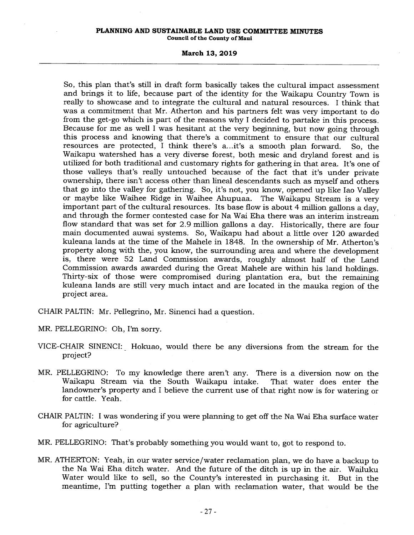#### **PLANNING AND SUSTAINABLE LAND USE COMMITTEE MINUTES Council of the County of Maui**

#### **March 13, 2019**

So, this plan that's still in draft form basically takes the cultural impact assessment and brings it to life, because part of the identity for the Waikapu Country Town is really to showcase and to integrate the cultural and natural resources. I think that was a commitment that Mr. Atherton and his partners felt was very important to do from the get-go which is part of the reasons why I decided to partake in this process. Because for me as well I was hesitant at the very beginning, but now going through this process and knowing that there's a commitment to ensure that our cultural resources are protected, I think there's a...it's a smooth plan forward. So, the Waikapu watershed has a very diverse forest, both mesic and dryland forest and is utilized for both traditional and customary rights for gathering in that area. It's one of those valleys that's really untouched because of the fact that it's under private ownership, there isn't access other than lineal descendants such as myself and others that go into the valley for gathering. So, it's not, you know, opened up like Iao Valley or maybe like Waihee Ridge in Waihee Ahupuaa. The Waikapu Stream is a very important part of the cultural resources. Its base flow is about 4 million gallons a day, and through the former contested case for Na Wai Eha there was an interim instream flow standard that was set for 2.9 million gallons a day. Historically, there are four main documented auwai systems. So, Waikapu had about a little over 120 awarded kuleana lands at the time of the Mahele in 1848. In the ownership of Mr. Atherton's property along with the, you know, the surrounding area and where the development is, there were 52 Land Commission awards, roughly almost half of the Land Commission awards awarded during the Great Mahele are within his land holdings. Thirty-six of those were compromised during plantation era, but the remaining kuleana lands are still very much intact and are located in the mauka region of the project area.

CHAIR PALTIN: Mr. Pellegrino, Mr. Sinenci had a question.

MR. PELLEGRINO: Oh, I'm sorry.

- VICE-CHAIR SINENCI: Hokuao, would there be any diversions from the stream for the project?
- MR. PELLEGRINO: To my knowledge there aren't any. There is a diversion now on the Waikapu Stream via the South Waikapu intake. That water does enter the landowner's property and I believe the current use of that right now is for watering or for cattle. Yeah.
- CHAIR PALTIN: I was wondering if you were planning to get off the Na Wai Eha surface water for agriculture?
- MR. PELLEGRINO: That's probably something you would want to, got to respond to.
- MR. ATHERTON: Yeah, in our water service/water reclamation plan, we do have a backup to the Na Wai Eha ditch water. And the future of the ditch is up in the air. Wailuku Water would like to sell, so the County's interested in purchasing it. But in the meantime, I'm putting together a plan with reclamation water, that would be the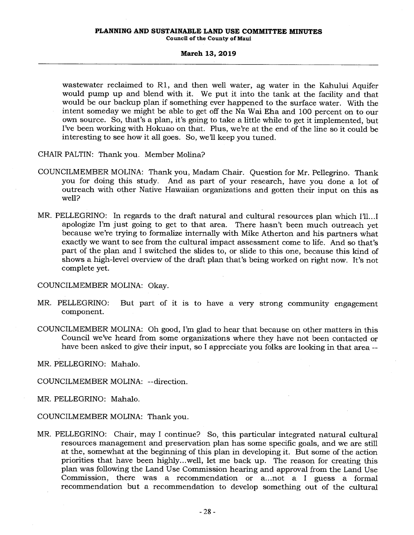# **PLANNING AND SUSTAINABLE LAND USE COMMITTEE MINUTES**

**Council of the County of Maui** 

#### **March 13, 2019**

wastewater reclaimed to R1, and then well water, ag water in the Kahului Aquifer would pump up and blend with it. We put it into the tank at the facility and that would be our backup plan if something ever happened to the surface water. With the intent someday we might be able to get off the Na Wai Eha and 100 percent on to our own source. So, that's a plan, it's going to take a little while to get it implemented, but I've been working with Hokuao on that. Plus, we're at the end of the line so it could be interesting to see how it all goes. So, we'll keep you tuned.

CHAIR PALTIN: Thank you. Member Molina?

- COUNCILMEMBER MOLINA: Thank you, Madam Chair. Question for Mr. Pellegrino. Thank you for doing this study. And as part of your research, have you done a lot of outreach with other Native Hawaiian organizations and gotten their input on this as well?
- MR. PELLEGRINO: In regards to the draft natural and cultural resources plan which I'll...I apologize I'm just going to get to that area. There hasn't been much outreach yet because we're trying to formalize internally with Mike Atherton and his partners what exactly we want to see from the cultural impact assessment come to life. And so that's part of the plan and I switched the slides to, or slide to this one, because this kind of shows a high-level overview of the draft plan that's being worked on right now. It's not complete yet.

COUNCILMEMBER MOLINA: Okay.

- MR. PELLEGRINO: But part of it is to have a very strong community engagement component.
- COUNCILMEMBER MOLINA: Oh good, I'm glad to hear that because on other matters in this Council we've heard from some organizations where they have not been contacted or have been asked to give their input, so I appreciate you folks are looking in that area --

MR. PELLEGRINO: Mahalo.

COUNCILMEMBER MOLINA: --direction.

MR. PELLEGRINO: Mahalo.

COUNCILMEMBER MOLINA: Thank you.

MR. PELLEGRINO: Chair, may I continue? So, this particular integrated natural cultural resources management and preservation plan has some specific goals, and we are still at the, somewhat at the beginning of this plan in developing it. But some of the action priorities that have been highly...well, let me back up. The reason for creating this plan was following the Land Use Commission hearing and approval from the Land Use Commission, there was a recommendation or a...not a I guess a formal recommendation but a recommendation to develop something out of the cultural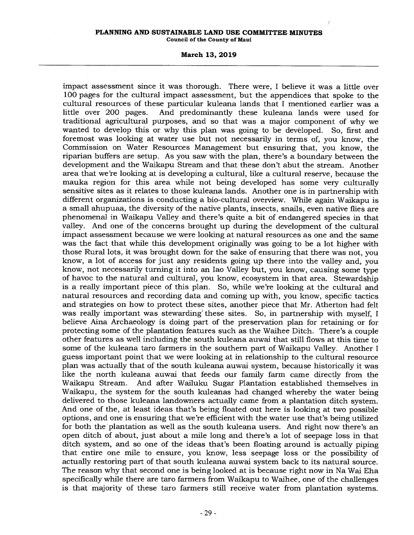$\boldsymbol{r}$ 

#### **March 13, 2019**

impact assessment since it was thorough. There were, I believe it was a little over 100 pages for the cultural impact assessment, but the appendices that spoke to the cultural resources of these particular kuleana lands that I mentioned earlier was a little over 200 pages. And predominantly these kuleana lands were used for traditional agricultural purposes, and so that was a major component of why we wanted to develop this or why this plan was going to be developed. So, first and foremost was looking at water use but not necessarily in terms of, you know, the Commission on Water Resources Management but ensuring that, you know, the riparian buffers are setup. As you saw with the plan, there's a boundary between the development and the Waikapu Stream and that these don't abut the stream. Another area that we're looking at is developing a cultural, like a cultural reserve, because the mauka region for this area while not being developed has some very culturally sensitive sites as it relates to those kuleana lands. Another one is in partnership with different organizations is conducting a bio-cultural overview. While again Waikapu is a small ahupuaa, the diversity of the native plants, insects, snails, even native flies are phenomenal in Waikapu Valley and there's quite a bit of endangered species in that valley. And one of the concerns brought up during the development of the cultural impact assessment because we were looking at natural resources as one and the same was the fact that while this development originally was going to be a lot higher with those Rural lots, it was brought down for the sake of ensuring that there was not, you know, a lot of access for just any residents going up there into the valley and, you know, not necessarily turning it into an Iao Valley but, you know, causing some type of havoc to the natural and cultural, you know, ecosystem in that area. Stewardship is a really important piece of this plan. So, while we're looking at the cultural and natural resources and recording data and coming up with, you know, specific tactics and strategies on how to protect these sites, another piece that Mr. Atherton had felt was really important was stewarding' these sites. So, in partnership with myself, I believe Aina Archaeology is doing part of the preservation plan for retaining or for protecting some of the plantation features such as the Waihee Ditch. There's a couple other features as well including the south kuleana auwai that still flows at this time to some of the kuleana taro farmers in the southern part of Waikapu Valley. Another I guess important point that we were looking at in relationship to the cultural resource plan was actually that of the south kuleana auwai system, because historically it was like the north kuleana auwai that feeds our family farm came directly from the And after Wailuku Sugar Plantation established themselves in Waikapu, the system for the south kuleanas had changed whereby the water being delivered to those kuleana landowners actually came from a plantation ditch system. And one of the, at least ideas that's being floated out here is looking at two possible options, and one is ensuring that we're efficient with the water use that's being utilized for both the plantation as well as the south kuleana users. And right now there's an open ditch of about, just about a mile long and there's a lot of seepage loss in that ditch system, and so one of the ideas that's been floating around is actually piping that entire one mile to ensure, you know, less seepage loss or the possibility of actually restoring part of that south kuleana auwai system back to its natural source. The reason why that second one is being looked at is because right now in Na Wai Eha specifically while there are taro farmers from Waikapu to Waihee, one of the challenges is that majority of these taro farmers still receive water from plantation systems.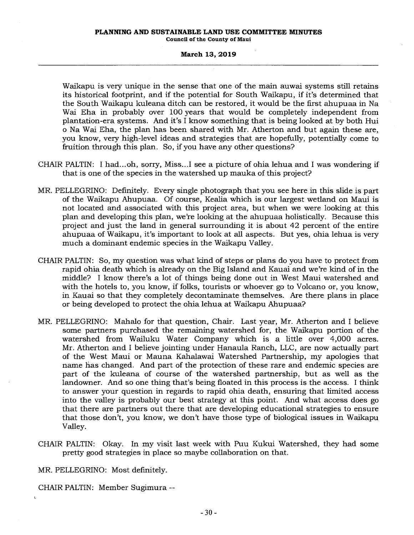**Council of the County of Maui** 

## **March 13, 2019**

Waikapu is very unique in the sense that one of the main auwai systems still retains its historical footprint, and if the potential for South Waikapu, if it's determined that the South Waikapu kuleana ditch can be restored, it would be the first ahupuaa in Na Wai Eha in probably over 100 years that would be completely independent from plantation-era systems. And it's I know something that is being looked at by both Hui o Na Wai Eha, the plan has been shared with Mr. Atherton and but again these are, you know, very high-level ideas and strategies that are hopefully, potentially come to fruition through this plan. So, if you have any other questions?

- CHAIR PALTIN: I had... oh, sorry, Miss...I see a picture of ohia lehua and I was wondering if that is one of the species in the watershed up mauka of this project?
- MR. PELLEGRINO: Definitely. Every single photograph that you see here in this slide is part of the Waikapu Ahupuaa. Of course, Kealia which is our largest wetland on Maui is not located and associated with this project area, but when we were looking at this plan and developing this plan, we're looking at the ahupuaa holistically. Because this project and just the land in general surrounding it is about 42 percent of the entire ahupuaa of Waikapu, it's important to look at all aspects. But yes, ohia lehua is very much a dominant endemic species in the Waikapu Valley.
- CHAIR PALTIN: So, my question was what kind of steps or plans do you have to protect from rapid ohia death which is already on the Big Island and Kauai and we're kind of in the middle? I know there's a lot of things being done out in West Maui watershed and with the hotels to, you know, if folks, tourists or whoever go to Volcano or, you know, in Kauai so that they completely decontaminate themselves. Are there plans in place or being developed to protect the ohia lehua at Waikapu Ahupuaa?
- MR. PELLEGRINO: Mahalo for that question, Chair. Last year, Mr. Atherton and I believe some partners purchased the remaining watershed for, the Waikapu portion of the watershed from Wailuku Water Company which is a little over 4,000 acres. Mr. Atherton and I believe jointing under Hanaula Ranch, LLC, are now actually part of the West Maui or Mauna Kahalawai Watershed Partnership, my apologies that name has changed. And part of the protection of these rare and endemic species are part of the kuleana of course of the watershed partnership, but as well as the landowner. And so one thing that's being floated in this process is the access. I think to answer your question in regards to rapid ohia death, ensuring that limited access into the valley is probably our best strategy at this point. And what access does go that there are partners out there that are developing educational strategies to ensure that those don't, you know, we don't have those type of biological issues in Waikapu Valley.
- CHAIR PALTIN: Okay. In my visit last week with Puu Kukui Watershed, they had some pretty good strategies in place so maybe collaboration on that.

MR. PELLEGRINO: Most definitely.

CHAIR PALTIN: Member Sugimura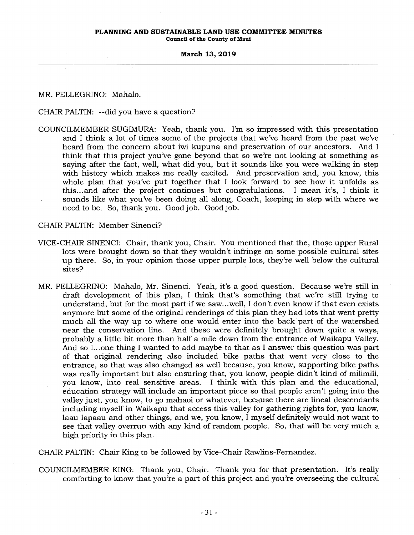MR. PELLEGRINO: Mahalo.

CHAIR PALTIN: --did you have a question?

COUNCILMEMBER SUGIMURA: Yeah, thank you. I'm so impressed with this presentation and I think a lot of times some of the projects that we've heard from the past we've heard from the concern about iwi kupuna and preservation of our ancestors. And I think that this project you've gone beyond that so we're not looking at something as saying after the fact, well, what did you, but it sounds like you were walking in step with history which makes me really excited. And preservation and, you know, this whole plan that you've put together that I look forward to see how it unfolds as this...and after the project continues but congratulations. I mean it's, I think it sounds like what you've been doing all along, Coach, keeping in step with where we need to be. So, thank you. Good job. Good job.

CHAIR PALTIN: Member Sinenci?

- VICE-CHAIR SINENCI: Chair, thank you, Chair. You mentioned that the, those upper Rural lots were brought down so that they wouldn't infringe on some possible cultural sites up there. So, in your opinion those upper purple lots, they're well below the cultural sites?
- MR. PELLEGRINO: Mahalo, Mr. Sinenci. Yeah, it's a good question. Because we're still in draft development of this plan, I think that's something that we're still trying to understand, but for the most part if we saw...well, I don't even know if that even exists anymore but some of the original renderings of this plan they had lots that went pretty much all the way up to where one would enter into the back part of the watershed near the conservation line. And these were definitely brought down quite a ways, probably a little bit more than half a mile down from the entrance of Waikapu Valley. And so I...one thing I wanted to add maybe to that as I answer this question was part of that original rendering also included bike paths that went very close to the entrance, so that was also changed as well because, you know, supporting bike paths was really important but also ensuring that, you know, people didn't kind of milimili, you know, into real sensitive areas. I think with this plan and the educational, education strategy will include an important piece so that people aren't going into the valley just, you know, to go mahaoi or whatever, because there are lineal descendants including myself in Waikapu that access this valley for gathering rights for, you know, laau lapaau and other things, and we, you know, I myself definitely would not want to see that valley overrun with any kind of random people. So, that will be very much a high priority in this plan.

CHAIR PALTIN: Chair King to be followed by Vice-Chair Rawlins-Fernandez.

COUNCILMEMBER KING: Thank you, Chair. Thank you for that presentation. It's really comforting to know that you're a part of this project and you're overseeing the cultural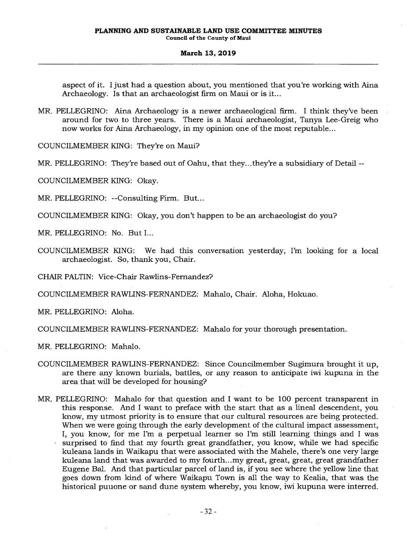aspect of it. I just had a question about, you mentioned that you're working with Aina Archaeology. Is that an archaeologist firm on Maui or is it...

MR. PELLEGRINO: Aina Archaeology is a newer archaeological firm. I think they've been around for two to three years. There is a Maui archaeologist, Tanya Lee-Greig who now works for Aina Archaeology, in my opinion one of the most reputable...

COUNCILMEMBER KING: They're on Maui?

MR. PELLEGRINO: They're based out of Oahu, that they...they're a subsidiary of Detail --

COUNCILMEMBER KING: Okay.

MR. PELLEGRINO: --Consulting Firm. But...

COUNCILMEMBER KING: Okay, you don't happen to be an archaeologist do you?

MR. PELLEGRINO: No. But I...

COUNCILMEMBER KING: We had this conversation yesterday, I'm looking for a local archaeologist. So, thank you, Chair.

CHAIR PALTIN: Vice-Chair Rawlins-Fernandez?

COUNCILMEMBER RAWLINS-FERNANDEZ: Mahalo, Chair. Aloha, Hokuao.

MR. PELLEGRINO: Aloha.

COUNCILMEMBER RAWLINS-FERNANDEZ: Mahalo for your thorough presentation.

MR. PELLEGRINO: Mahalo.

- COUNCILMEMBER RAWLINS-FERNANDEZ: Since Councilmember Sugimura brought it up, are there any known burials, battles, or any reason to anticipate iwi kupuna in the area that will be developed for housing?
- MR. PELLEGRINO: Mahalo for that question and I want to be 100 percent transparent in this response. And I want to preface with the start that as a lineal descendent, you know, my utmost priority is to ensure that our cultural resources are being protected. When we were going through the early development of the cultural impact assessment, I, you know, for me I'm a perpetual learner so I'm still learning things and I was surprised to find that my fourth great grandfather, you know, while we had specific kuleana lands in Waikapu that were associated with the Mahele, there's one very large kuleana land that was awarded to my fourth...my great, great, great, great grandfather Eugene Bal. And that particular parcel of land is, if you see where the yellow line that goes down from kind of where Waikapu Town is all the way to Kealia, that was the historical puuone or sand dune system whereby, you know, iwi kupuna were interred.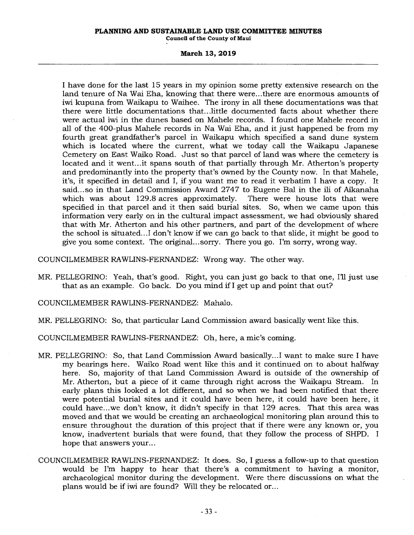#### **PLANNING AND SUSTAINABLE LAND USE COMMITTEE MINUTES**

**Council of the County of Maui** 

### **March 13, 2019**

I have done for the last 15 years in my opinion some pretty extensive research on the land tenure of Na Wai Eha, knowing that there were...there are enormous amounts of iwi kupuna from Waikapu to Waihee. The irony in all these documentations was that there were little documentations that...little documented facts about whether there were actual iwi in the dunes based on Mahele records. I found one Mahele record in all of the 400-plus Mahele records in Na Wai Eha, and it just happened be from my fourth great grandfather's parcel in Waikapu which specified a sand dune system which is located where the current, what we today call the Waikapu Japanese Cemetery on East Waiko Road. Just so that parcel of land was where the cemetery is located and it went...it spans south of that partially through Mr. Atherton's property and predominantly into the property that's owned by the County now. In that Mahele, it's, it specified in detail and I, if you want me to read it verbatim I have a copy. It said... so in that Land Commission Award 2747 to Eugene Bal in the ili of Aikanaha which was about 129.8 acres approximately. There were house lots that were specified in that parcel and it then said burial sites. So, when we came upon this information very early on in the cultural impact assessment, we had obviously shared that with Mr. Atherton and his other partners, and part of the development of where the school is situated...I don't know if we can go back to that slide, it might be good to give you some context. The original... sorry. There you go. I'm sorry, wrong way.

COUNCILMEMBER RAWLINS-FERNANDEZ: Wrong way. The other way.

MR. PELLEGRINO: Yeah, that's good. Right, you can just go back to that one, I'll just use that as an example. Go back. Do you mind if I get up and point that out?

COUNCILMEMBER RAWLINS-FERNANDEZ: Mahalo.

MR. PELLEGRINO: So, that particular Land Commission award basically went like this.

COUNCILMEMBER RAWLINS-FERNANDEZ: Oh, here, a mic's coming.

- MR. PELLEGRINO: So, that Land Commission Award basically...I want to make sure I have my bearings here. Waiko Road went like this and it continued on to about halfway here. So, majority of that Land Commission Award is outside of the ownership of Mr. Atherton, but a piece of it came through right across the Waikapu Stream. In early plans this looked a lot different, and so when we had been notified that there were potential burial sites and it could have been here, it could have been here, it could have...we don't know, it didn't specify in that 129 acres. That this area was moved and that we would be creating an archaeological monitoring plan around this to ensure throughout the duration of this project that if there were any known or, you know, inadvertent burials that were found, that they follow the process of SHPD. I hope that answers your...
- COUNCILMEMBER RAWLINS-FERNANDEZ: It does. So, I guess a follow-up to that question would be I'm happy to hear that there's a commitment to having a monitor, archaeological monitor during the development. Were there discussions on what the plans would be if iwi are found? Will they be relocated or...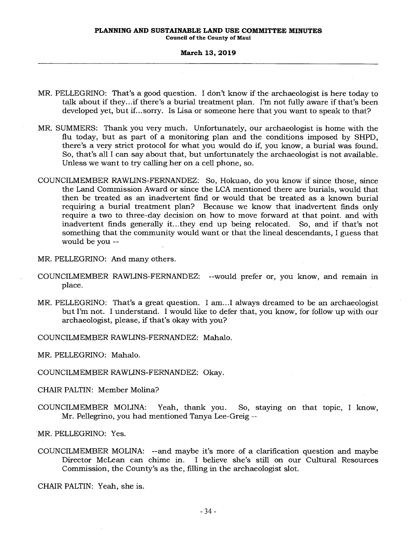#### **PLANNING AND SUSTAINABLE LAND USE COMMITTEE MINUTES Council of the County of Maui**

#### **March 13, 2019**

- MR. PELLEGRINO: That's a good question. I don't know if the archaeologist is here today to talk about if they...if there's a burial treatment plan. I'm not fully aware if that's been developed yet, but if...sorry. Is Lisa or someone here that you want to speak to that?
- MR. SUMMERS: Thank you very much. Unfortunately, our archaeologist is home with the flu today, but as part of a monitoring plan and the conditions imposed by SHPD, there's a very strict protocol for what you would do if, you know, a burial was found. So, that's all I can say about that, but unfortunately the archaeologist is not available. Unless we want to try calling her on a cell phone, so.
- COUNCILMEMBER RAWLINS-FERNANDEZ: So, Hokuao, do you know if since those, since the Land Commission Award or since the LCA mentioned there are burials, would that then be treated as an inadvertent find or would that be treated as a known burial requiring a burial treatment plan? Because we know that inadvertent finds only require a two to three-day decision on how to move forward at that point. and with inadvertent finds generally it...they end up being relocated. So, and if that's not something that the community would want or that the lineal descendants, I guess that would be you

MR. PELLEGRINO: And many others.

- COUNCILMEMBER RAWLINS-FERNANDEZ: --would prefer or, you know, and remain in place.
- MR. PELLEGRINO: That's a great question. I am...I always dreamed to be an archaeologist but I'm not. I understand. I would like to defer that, you know, for follow up with our archaeologist, please, if that's okay with you?

COUNCILMEMBER RAWLINS-FERNANDEZ: Mahalo.

MR. PELLEGRINO: Mahalo.

COUNCILMEMBER RAWLINS-FERNANDEZ: Okay.

CHAIR PALTIN: Member Molina?

COUNCILMEMBER MOLINA: Yeah, thank you. So, staying on that topic, I know, Mr. Pellegrino, you had mentioned Tanya Lee-Greig --

MR. PELLEGRINO: Yes.

COUNCILMEMBER MOLINA: --and maybe it's more of a clarification question and maybe Director McLean can chime in. I believe she's still on our Cultural Resources Commission, the County's as the, filling in the archaeologist slot.

CHAIR PALTIN: Yeah, she is.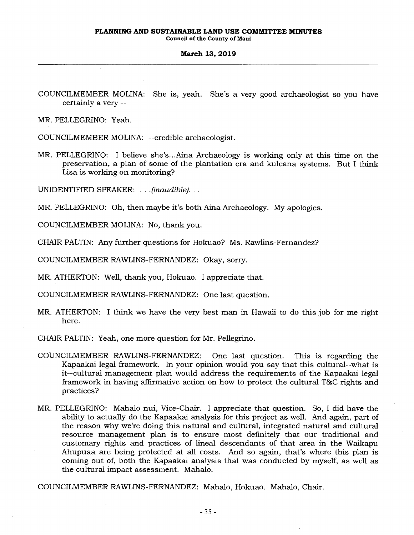**Council of the County of Maui** 

#### **March 13, 2019**

COUNCILMEMBER MOLINA: She is, yeah. She's a very good archaeologist so you have certainly a very --

MR. PELLEGRINO: Yeah.

COUNCILMEMBER MOLINA: --credible archaeologist.

MR. PELLEGRINO: I believe she's...Aina Archaeology is working only at this time on the preservation, a plan of some of the plantation era and kuleana systems. But I think Lisa is working on monitoring?

UNIDENTIFIED SPEAKER: . . *.(inaudible). . .* 

MR. PELLEGRINO: Oh, then maybe it's both Aina Archaeology. My apologies.

COUNCILMEMBER MOLINA: No, thank you.

CHAIR PALTIN: Any further questions for Hokuao? Ms. Rawlins-Fernandez?

COUNCILMEMBER RAWLINS-FERNANDEZ: Okay, sorry.

MR. ATHERTON: Well, thank you, Hokuao. I appreciate that.

COUNCILMEMBER RAWLINS-FERNANDEZ: One last question.

MR. ATHERTON: I think we have the very best man in Hawaii to do this job for me right here.

CHAIR PALTIN: Yeah, one more question for Mr. Pellegrino.

- COUNCILMEMBER RAWLINS-FERNANDEZ: One last question. This is regarding the Kapaakai legal framework. In your opinion would you say that this cultural--what is it--cultural management plan would address the requirements of the Kapaakai legal framework in having affirmative action on how to protect the cultural T86C rights and practices?
- MR. PELLEGRINO: Mahalo nui, Vice-Chair. I appreciate that question. So, I did have the ability to actually do the Kapaakai analysis for this project as well. And again, part of the reason why we're doing this natural and cultural, integrated natural and cultural resource management plan is to ensure most definitely that our traditional and customary rights and practices of lineal descendants of that area in the Waikapu Ahupuaa are being protected at all costs. And so again, that's where this plan is coming out of, both the Kapaakai analysis that was conducted by myself, as well as the cultural impact assessment. Mahalo.

COUNCILMEMBER RAWLINS-FERNANDEZ: Mahalo, Hokuao. Mahalo, Chair.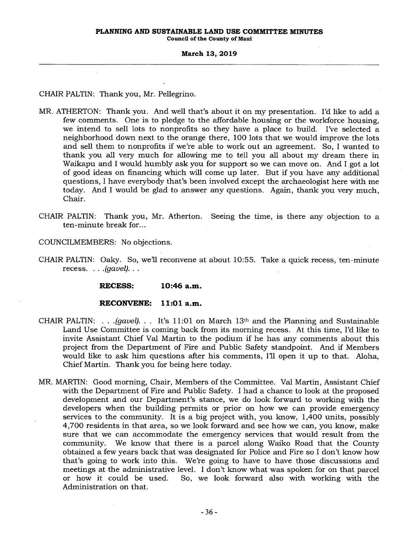CHAIR PALTIN: Thank you, Mr. Pellegrino.

- MR. ATHERTON: Thank you. And well that's about it on my presentation. I'd like to add a few comments. One is to pledge to the affordable housing or the workforce housing, we intend to sell lots to nonprofits so they have a place to build. I've selected a neighborhood down next to the orange there, 100 lots that we would improve the lots and sell them to nonprofits if we're able to work out an agreement. So, I wanted to thank you all very much for allowing me to tell you all about my dream there in Waikapu and I would humbly ask you for support so we can move on. And I got a lot of good ideas on financing which will come up later. But if you have any additional questions, I have everybody that's been involved except the archaeologist here with me today. And I would be glad to answer any questions. Again, thank you very much, Chair.
- CHAIR PALTIN: Thank you, Mr. Atherton. Seeing the time, is there any objection to a ten-minute break for...

COUNCILMEMBERS: No objections.

CHAIR PALTIN: Oaky. So, we'll reconvene at about 10:55. Take a quick recess, ten-minute recess. . . *.(gavel). . .* 

**RECESS: 10:46 a.m.** 

### **RECONVENE: 11:01 a.m.**

- CHAIR PALTIN: . . *.(gavel). . .* It's 11:01 on March 13th and the Planning and Sustainable Land Use Committee is coming back from its morning recess. At this time, I'd like to invite Assistant Chief Val Martin to the podium if he has any comments about this project from the Department of Fire and Public Safety standpoint. And if Members would like to ask him questions after his comments, I'll open it up to that. Aloha, Chief Martin. Thank you for being here today.
- MR. MARTIN: Good morning, Chair, Members of the Committee. Val Martin, Assistant Chief with the Department of Fire and Public Safety. I had a chance to look at the proposed development and our Department's stance, we do look forward to working with the developers when the building permits or prior on how we can provide emergency services to the community. It is a big project with, you know, 1,400 units, possibly 4,700 residents in that area, so we look forward and see how we can, you know, make sure that we can accommodate the emergency services that would result from the community. We know that there is a parcel along Waiko Road that the County obtained a few years back that was designated for Police and Fire so I don't know how that's going to work into this. We're going to have to have those discussions and meetings at the administrative level. I don't know what was spoken for on that parcel or how it could be used. So, we look forward also with working with the Administration on that.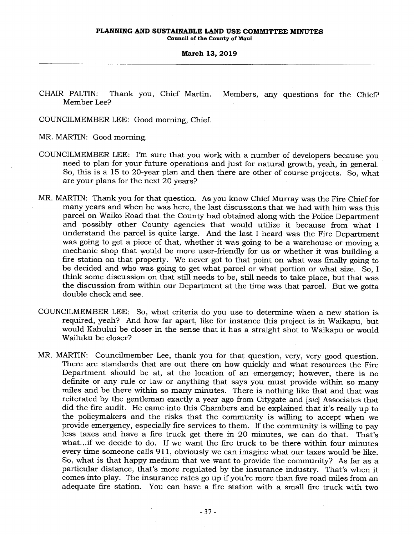**Council of the County of Maui** 

#### **March 13, 2019**

CHAIR PALTIN: Thank you, Chief Martin. Members, any questions for the Chief? Member Lee?

COUNCILMEMBER LEE: Good morning, Chief.

MR. MARTIN: Good morning.

- COUNCILMEMBER LEE: I'm sure that you work with a number of developers because you need to plan for your future operations and just for natural growth, yeah, in general. So, this is a 15 to 20-year plan and then there are other of course projects. So, what are your plans for the next 20 years?
- MR. MARTIN: Thank you for that question. As you know Chief Murray was the Fire Chief for many years and when he was here, the last discussions that we had with him was this parcel on Waiko Road that the County had obtained along with the Police Department and possibly other County agencies that would utilize it because from what I understand the parcel is quite large. And the last I heard was the Fire Department was going to get a piece of that, whether it was going to be a warehouse or moving a mechanic shop that would be more user-friendly for us or whether it was building a fire station on that property. We never got to that point on what was finally going to be decided and who was going to get what parcel or what portion or what size. So, I think some discussion on that still needs to be, still needs to take place, but that was the discussion from within our Department at the time was that parcel. But we gotta double check and see.
- COUNCILMEMBER LEE: So, what criteria do you use to determine when a new station is required, yeah? And how far apart, like for instance this project is in Waikapu, but would Kahului be closer in the sense that it has a straight shot to Waikapu or would Wailuku be closer?
- MR. MARTIN: Councilmember Lee, thank you for that question, very, very good question. There are standards that are out there on how quickly and what resources the Fire Department should be at, at the location of an emergency; however, there is no definite or any rule or law or anything that says you must provide within so many miles and be there within so many minutes. There is nothing like that and that was reiterated by the gentleman exactly a year ago from Citygate and *[sic]* Associates that did the fire audit. He came into this Chambers and he explained that it's really up to the policymakers and the risks that the community is willing to accept when we provide emergency, especially fire services to them. If the community is willing to pay less taxes and have a fire truck get there in 20 minutes, we can do that. That's what...if we decide to do. If we want the fire truck to be there within four minutes every time someone calls 911, obviously we can imagine what our taxes would be like. So, what is that happy medium that we want to provide the community? As far as a particular distance, that's more regulated by the insurance industry. That's when it comes into play. The insurance rates go up if you're more than five road miles from an adequate fire station. You can have a fire station with a small fire truck with two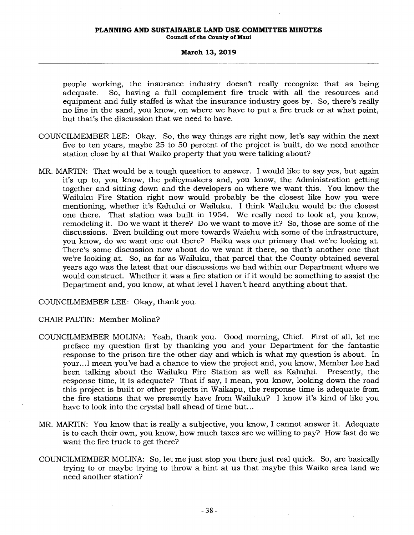#### **PLANNING AND SUSTAINABLE LAND USE COMMITTEE MINUTES Council of the County of Maui**

## **March 13, 2019**

people working, the insurance industry doesn't really recognize that as being adequate. So, having a full complement fire truck with all the resources and equipment and fully staffed is what the insurance industry goes by. So, there's really no line in the sand, you know, on where we have to put a fire truck or at what point, but that's the discussion that we need to have.

- COUNCILMEMBER LEE: Okay. So, the way things are right now, let's say within the next five to ten years, maybe 25 to 50 percent of the project is built, do we need another station close by at that Waiko property that you were talking about?
- MR. MARTIN: That would be a tough question to answer. I would like to say yes, but again it's up to, you know, the policymakers and, you know, the Administration getting together and sitting down and the developers on where we want this. You know the Wailuku Fire Station right now would probably be the closest like how you were mentioning, whether it's Kahului or Wailuku. I think Wailuku would be the closest one there. That station was built in 1954. We really need to look at, you know, remodeling it. Do we want it there? Do we want to move it? So, those are some of the discussions. Even building out more towards Waiehu with some of the infrastructure, you know, do we want one out there? Haiku was our primary that we're looking at. There's some discussion now about do we want it there, so that's another one that we're looking at. So, as far as Wailuku, that parcel that the County obtained several years ago was the latest that our discussions we had within our Department where we would construct. Whether it was a fire station or if it would be something to assist the Department and, you know, at what level I haven't heard anything about that.

COUNCILMEMBER LEE: Okay, thank you.

CHAIR PALTIN: Member Molina?

- COUNCILMEMBER MOLINA: Yeah, thank you. Good morning, Chief. First of all, let me preface my question first by thanking you and your Department for the fantastic response to the prison fire the other day and which is what my question is about. In your...I mean you've had a chance to view the project and, you know, Member Lee had been talking about the Wailuku Fire Station as well as Kahului. Presently, the response time, it is adequate? That if say, I mean, you know, looking down the road this project is built or other projects in Waikapu, the response time is adequate from the fire stations that we presently have from Wailuku? I know it's kind of like you have to look into the crystal ball ahead of time but...
- MR. MARTIN: You know that is really a subjective, you know, I cannot answer it. Adequate is to each their own, you know, how much taxes are we willing to pay? How fast do we want the fire truck to get there?
- COUNCILMEMBER MOLINA: So, let me just stop you there just real quick. So, are basically trying to or maybe trying to throw a hint at us that maybe this Waiko area land we need another station?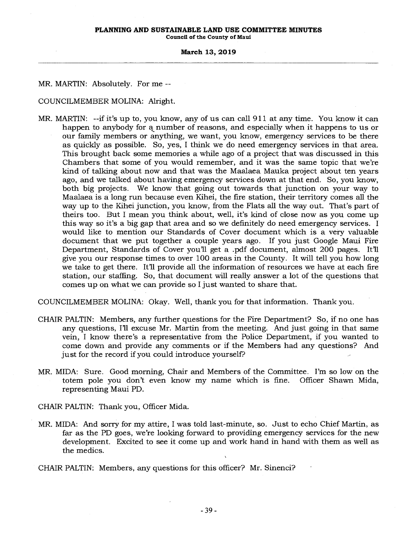# **PLANNING AND SUSTAINABLE LAND USE COMMITTEE MINUTES**

**Council of the County of Maui** 

#### **March 13, 2019**

MR. MARTIN: Absolutely. For me --

COUNCILMEMBER MOLINA: Alright.

MR. MARTIN: --if it's up to, you know, any of us can call 911 at any time. You know it can happen to anybody for a number of reasons, and especially when it happens to us or our family members or anything, we want, you know, emergency services to be there as quickly as possible. So, yes, I think we do need emergency services in that area. This brought back some memories a while ago of a project that was discussed in this Chambers that some of you would remember, and it was the same topic that we're kind of talking about now and that was the Maalaea Mauka project about ten years ago, and we talked about having emergency services down at that end. So, you know, both big projects. We know that going out towards that junction on your way to Maalaea is a long run because even Kihei, the fire station, their territory comes all the way up to the Kihei junction, you know, from the Flats all the way out. That's part of theirs too. But I mean you think about, well, it's kind of close now as you come up this way so it's a big gap that area and so we definitely do need emergency services. I would like to mention our Standards of Cover document which is a very valuable document that we put together a couple years ago. If you just Google Maui Fire Department, Standards of Cover you'll get a .pdf document, almost 200 pages. It'll give you our response times to over 100 areas in the County. It will tell you how long we take to get there. It'll provide all the information of resources we have at each fire station, our staffing. So, that document will really answer a lot of the questions that comes up on what we can provide so I just wanted to share that.

COUNCILMEMBER MOLINA: Okay. Well, thank you for that information. Thank you.

- CHAIR PALTIN: Members, any further questions for the Fire Department? So, if no one has any questions, I'll excuse Mr. Martin from the meeting. And just going in that same vein, I know there's a representative from the Police Department, if you wanted to come down and provide any comments or if the Members had any questions? And just for the record if you could introduce yourself?
- MR. MIDA: Sure. Good morning, Chair and Members of the Committee. I'm so low on the totem pole you don't even know my name which is fine. Officer Shawn Mida, representing Maui PD.

CHAIR PALTIN: Thank you, Officer Mida.

MR. MIDA: And sorry for my attire, I was told last-minute, so. Just to echo Chief Martin, as far as the PD goes, we're looking forward to providing emergency services for the new development. Excited to see it come up and work hand in hand with them as well as the medics.

CHAIR PALTIN: Members, any questions for this officer? Mr. Sinenci?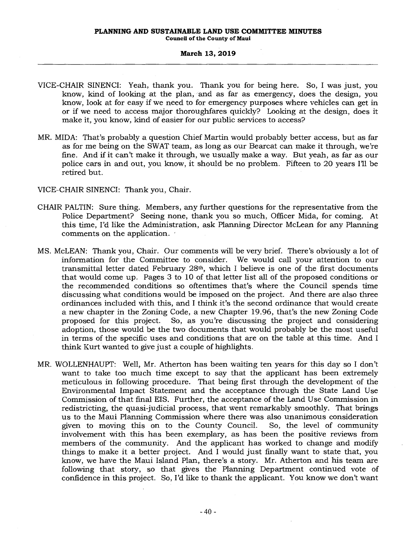**Council of the County of Maui** 

#### **March 13, 2019**

- VICE-CHAIR SINENCI: Yeah, thank you. Thank you for being here. So, I was just, you know, kind of looking at the plan, and as far as emergency, does the design, you know, look at for easy if we need to for emergency purposes where vehicles can get in or if we need to access major thoroughfares quickly? Looking at the design, does it make it, you know, kind of easier for our public services to access?
- MR. MIDA: That's probably a question Chief Martin would probably better access, but as far as for me being on the SWAT team, as long as our Bearcat can make it through, we're fine. And if it can't make it through, we usually make a way. But yeah, as far as our police cars in and out, you know, it should be no problem. Fifteen to 20 years I'll be retired but.

VICE-CHAIR SINENCI: Thank you, Chair.

- CHAIR PALTIN: Sure thing. Members, any further questions for the representative from the Police Department? Seeing none, thank you so much, Officer Mida, for coming. At this time, I'd like the Administration, ask Planning Director McLean for any Planning comments on the application.
- MS. McLEAN: Thank you, Chair. Our comments will be very brief. There's obviously a lot of information for the Committee to consider. We would call your attention to our transmittal letter dated February 28th, which I believe is one of the first documents that would come up. Pages 3 to 10 of that letter list all of the proposed conditions or the recommended conditions so oftentimes that's where the Council spends time discussing what conditions would be imposed on the project. And there are also three ordinances included with this, and I think it's the second ordinance that would create a new chapter in the Zoning Code, a new Chapter 19.96, that's the new Zoning Code proposed for this project. So, as you're discussing the project and considering adoption, those would be the two documents that would probably be the most useful in terms of the specific uses and conditions that are on the table at this time. And I think Kurt wanted to give just a couple of highlights.
- MR. WOLLENHAUPT: Well, Mr. Atherton has been waiting ten years for this day so I don't want to take too much time except to say that the applicant has been extremely meticulous in following procedure. That being first through the development of the Environmental Impact Statement and the acceptance through the State Land Use Commission of that final EIS. Further, the acceptance of the Land Use Commission in redistricting, the quasi-judicial process, that went remarkably smoothly. That brings us to the Maui Planning Commission where there was also unanimous consideration given to moving this on to the County Council. So, the level of community involvement with this has been exemplary, as has been the positive reviews from members of the community. And the applicant has worked to change and modify things to make it a better project. And I would just finally want to state that, you know, we have the Maui Island Plan, there's a story. Mr. Atherton and his team are following that story, so that gives the Planning Department continued vote of confidence in this project. So, I'd like to thank the applicant. You know we don't want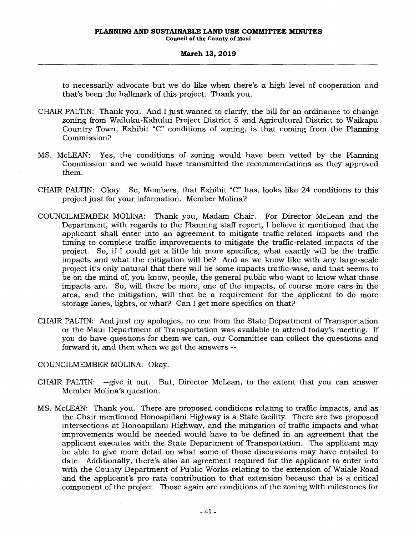to necessarily advocate but we do like when there's a high level of cooperation and that's been the hallmark of this project. Thank you.

- CHAIR PALTIN: Thank you. And I just wanted to clarify, the bill for an ordinance to change zoning from Wailuku-Kahului Project District 5 and Agricultural District to Waikapu Country Town, Exhibit "C" conditions of zoning, is that coming from the Planning Commission?
- MS. McLEAN: Yes, the conditions of zoning would have been vetted by the Planning Commission and we would have transmitted the recommendations as they approved them.
- CHAIR PALTIN: Okay. So, Members, that Exhibit "C" has, looks like 24 conditions to this project just for your information. Member Molina?
- COUNCILMEMBER MOLINA: Thank you, Madam Chair. For Director McLean and the Department, with regards to the Planning staff report, I believe it mentioned that the applicant shall enter into an agreement to mitigate traffic-related impacts and the timing to complete traffic improvements to mitigate the traffic-related impacts of the project. So, if I could get a little bit more specifics, what exactly will be the traffic impacts and what the mitigation will be? And as we know like with any large-scale project it's only natural that there will be some impacts traffic-wise, and that seems to be on the mind of, you know, people, the general public who want to know what those impacts are. So, will there be more, one of the impacts, of course more cars in the area, and the mitigation, will that be a requirement for the ,applicant to do more storage lanes, lights, or what? Can I get more specifics on that?
- CHAIR PALTIN: And just my apologies, no one from the State Department of Transportation or the Maui Department of Transportation was available to attend today's meeting. If you do have questions for them we can, our Committee can collect the questions and forward it, and then when we get the answers --

## COUNCILMEMBER MOLINA: Okay.

- CHAIR PALTIN: --give it out. But, Director McLean, to the extent that you can answer Member Molina's question.
- MS. McLEAN: Thank you. There are proposed conditions relating to traffic impacts, and as the Chair mentioned Honoapiilani Highway is a State facility. There are two proposed intersections at Honoapiilani Highway, and the mitigation of traffic impacts and what improvements would be needed would have to be defined in an agreement that the applicant executes with the State Department of Transportation. The applicant may be able to give more detail on what some of those discussions -may have entailed to date. Additionally, there's also an agreement required for the applicant to enter into with the County Department of Public Works relating to the extension of Waiale Road and the applicant's pro rata contribution to that extension because that is a critical component of the project. Those again are conditions of the zoning with milestones for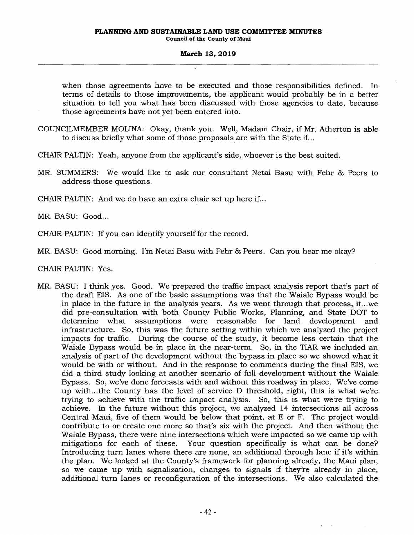when those agreements have to be executed and those responsibilities defined. In terms of details to those improvements, the applicant would probably be in a better situation to tell you what has been discussed with those agencies to date, because those agreements have not yet been entered into.

- COUNCILMEMBER MOLINA: Okay, thank you. Well, Madam Chair, if Mr. Atherton is able to discuss briefly what some of those proposals are with the State if...
- CHAIR PALTIN: Yeah, anyone from the applicant's side, whoever is the best suited.
- MR. SUMMERS: We would like to ask our consultant Netai Basu with Fehr & Peers to address those questions.

CHAIR PALTIN: And we do have an extra chair set up here if...

MR. BASU: Good...

CHAIR PALTIN: If you can identify yourself for the record.

MR. BASU: Good morning. I'm Netai Basu with Fehr & Peers. Can you hear me okay?

CHAIR PALTIN: Yes.

MR. BASU: I think yes. Good. We prepared the traffic impact analysis report that's part of the draft EIS. As one of the basic assumptions was that the Waiale Bypass would be in place in the future in the analysis years. As we went through that process, it...we did pre-consultation with both County Public Works, Planning, and State DOT to determine what assumptions were reasonable for land development and infrastructure. So, this was the future setting within which we analyzed the project impacts for traffic. During the course of the study, it became less certain that the Waiale Bypass would be in place in the near-term. So, in the TIAR we included an analysis of part of the development without the bypass in place so we showed what it would be with or without. And in the response to comments during the final EIS, we did a third study looking at another scenario of full development without the Waiale Bypass. So, we've done forecasts with and without this roadway in place. We've come up with...the County has the level of service D threshold, right, this is what we're trying to achieve with the traffic impact analysis. So, this is what we're trying to achieve. In the future without this project, we analyzed 14 intersections all across Central Maui, five of them would be below that point, at E or F. The project would contribute to or create one more so that's six with the project. And then without the Waiale Bypass, there were nine intersections which were impacted so we came up with mitigations for each of these. Your question specifically is what can be done? Introducing turn lanes where there are none, an additional through lane if it's within the plan. We looked at the County's framework for planning already, the Maui plan, so we came up with signalization, changes to signals if they're already in place, additional turn lanes or reconfiguration of the intersections. We also calculated the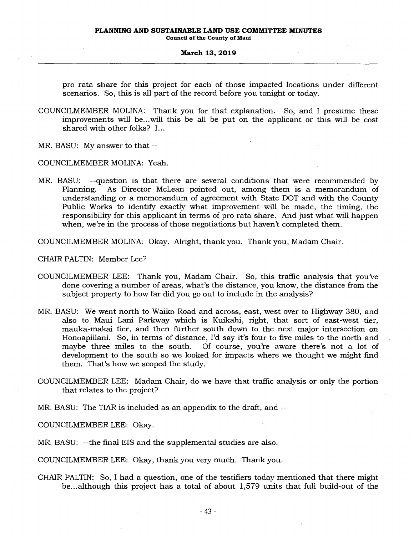pro rata share for this project for each of those impacted locations under different scenarios. So, this is all part of the record before you tonight or today.

- COUNCILMEMBER MOLINA: Thank you for that explanation. So, and I presume these improvements will be...will this be all be put on the applicant or this will be cost shared with other folks? I...
- MR. BASU: My answer to that --

COUNCILMEMBER MOLINA: Yeah.

MR. BASU: --question is that there are several conditions that were recommended by Planning. As Director McLean pointed out, among them is a memorandum of understanding or a memorandum of agreement with State DOT and with the County Public Works to identify exactly what improvement will be made, the timing, the responsibility for this applicant in terms of pro rata share. And just what will happen when, we're in the process of those negotiations but haven't completed them.

COUNCILMEMBER MOLINA: Okay. Alright, thank you. Thank you, Madam Chair.

CHAIR PALTIN: Member Lee?

- COUNCILMEMBER LEE: Thank you, Madam Chair. So, this traffic analysis that you've done covering a number of areas, what's the distance, you know, the distance from the subject property to how far did you go out to include in the analysis?
- MR. BASU: We went north to Waiko Road and across, east, west over to Highway 380, and also to Maui Lani Parkway which is Kuikahi, right, that sort of east-west tier, mauka-makai tier, and then further south down to the next major intersection on Honoapiilani. So, in terms of distance, I'd say it's four to five miles to the north and maybe three miles to the south. Of course, you're aware there's not a lot of development to the south so we looked for impacts where we thought we might find them. That's how we scoped the study.
- COUNCILMEMBER LEE: Madam Chair, do we have that traffic analysis or only the portion that relates to the project?
- MR. BASU: The TIAR is included as an appendix to the draft, and --

COUNCILMEMBER LEE: Okay.

MR. BASU: --the final EIS and the supplemental studies are also.

COUNCILMEMBER LEE: Okay, thank you very much. Thank you.

CHAIR PALTIN: So, I had a question, one of the testifiers today mentioned that there might be...although this project has a total of about 1,579 units that full build-out of the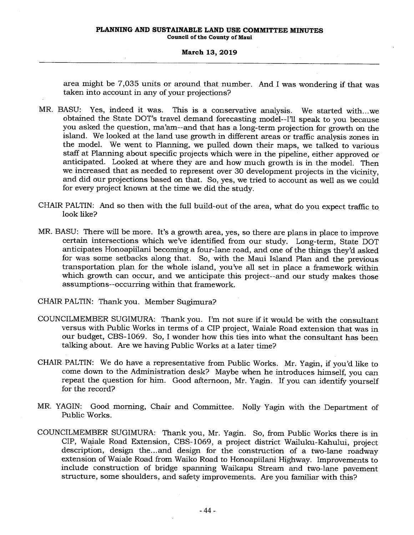area might be 7,035 units or around that number. And I was wondering if that was taken into account in any of your projections?

- MR. BASU: Yes, indeed it was. This is a conservative analysis. We started with...we obtained the State DOT's travel demand forecasting model--I'll speak to you because you asked the question, ma'am--and that has a long-term projection for growth on the island. We looked at the land use growth in different areas or traffic analysis zones in the model. We went to Planning, we pulled down their maps, we talked to various staff at Planning about specific projects which were in the pipeline, either approved or anticipated. Looked at where they are and how much growth is in the model. Then we increased that as needed to represent over 30 development projects in the vicinity, and did our projections based on that. So, yes, we tried to account as well as we could for every project known at the time we did the study.
- CHAIR PALTIN: And so then with the full build-out of the area, what do you expect traffic to, look like?
- MR. BASU: There will be more. It's a growth area, yes, so there are plans in place to improve certain intersections which we've identified from our study. Long-term, State DOT anticipates Honoapiilani becoming a four-lane road, and one of the things they'd asked for was some setbacks along that. So, with the Maui Island Plan and the previous transportation plan for the whole island, you've all set in place a framework within which growth can occur, and we anticipate this project--and our study makes those assumptions--occurring within that framework.
- CHAIR PALTIN: Thank you. Member Sugimura?
- COUNCILMEMBER SUGIMURA: Thank you. I'm not sure if it would be with the consultant versus with Public Works in terms of a CIP project, Waiale Road extension that was in our budget, CBS-1069. So, I wonder how this ties into what the consultant has been talking about. Are we having Public Works at a later time?
- CHAIR PALTIN: We do have a representative from Public Works. Mr. Yagin, if you'd like to come down to the Administration desk? Maybe when he introduces himself, you can repeat the question for him. Good afternoon, Mr. Yagin. If you can identify yourself for the record?
- MR. YAGIN: Good morning, Chair and Committee. Nolly Yagin with the Department of Public Works.
- COUNCILMEMBER SUGIMURA: Thank you, Mr. Yagin. So, from Public Works there is in CIP, Waiale Road Extension, CBS-1069, a project district Wailuku-Kahului, project description, design the... and design for the construction of a two-lane roadway extension of Waiale Road from Waiko Road to Honoapiilani Highway. Improvements to include construction of bridge spanning Waikapu Stream and two-lane pavement structure, some shoulders, and safety improvements. Are you familiar with this?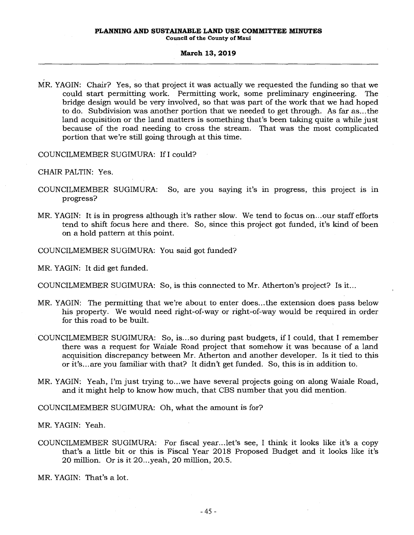MR. YAGIN: Chair? Yes, so that project it was actually we requested the funding so that we could start permitting work. Permitting work, some preliminary engineering. The bridge design would be very involved, so that was part of the work that we had hoped to do. Subdivision was another portion that we needed to get through. As far as...the land acquisition or the land matters is something that's been taking quite a while just because of the road needing to cross the stream. That was the most complicated portion that we're still going through at this time.

COUNCILMEMBER SUGIMURA: If I could?

CHAIR PALTIN: Yes.

- COUNCILMEMBER SUGIMURA: So, are you saying it's in progress, this project is in progress?
- MR. YAGIN: It is in progress although it's rather slow. We tend to focus on...our staff efforts tend to shift focus here and there. So, since this project got funded, it's kind of been on a hold pattern at this point.
- COUNCILMEMBER SUGIMURA: You said got funded?

MR. YAGIN: It did get funded.

COUNCILMEMBER SUGIMURA: So, is this connected to Mr. Atherton's project? Is it...

- MR. YAGIN: The permitting that we're about to enter does...the extension does pass below his property. We would need right-of-way or right-of-way would be required in order for this road to be built.
- COUNCILMEMBER SUGIMURA: So, is...so during past budgets, if I could, that I remember there was a request for Waiale Road project that somehow it was because of a land acquisition discrepancy between Mr. Atherton and another developer. Is it tied to this or it's... are you familiar with that? It didn't get funded. So, this is in addition to.
- MR. YAGIN: Yeah, I'm just trying to...we have several projects going on along Waiale Road, and it might help to know how much, that CBS number that you did mention.

COUNCILMEMBER SUGIMURA: Oh, what the amount is for?

MR. YAGIN: Yeah.

COUNCILMEMBER SUGIMURA: For fiscal year...let's see, I think it looks like it's a copy that's a little bit or this is Fiscal Year 2018 Proposed Budget and it looks like it's 20 million. Or is it 20...yeah, 20 million, 20.5.

MR. YAGIN: That's a lot.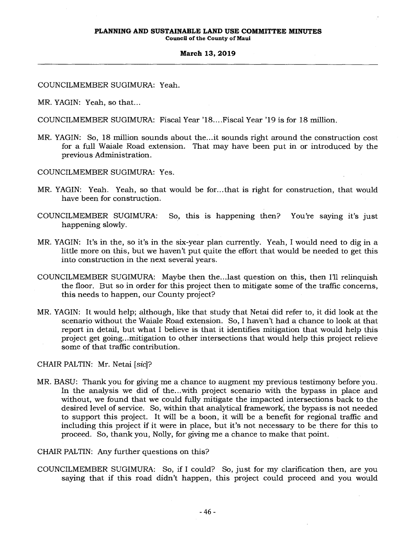**Council of the County of Maui** 

## **March 13, 2019**

COUNCILMEMBER SUGIMURA: Yeah.

MR. YAGIN: Yeah, so that...

COUNCILMEMBER SUGIMURA: Fiscal Year '18....Fiscal Year '19 is for 18 million.

- MR. YAGIN: So, 18 million sounds about the...it sounds right around the construction cost for a full Waiale Road extension. That may have been put in or introduced by the previous Administration.
- COUNCILMEMBER SUGIMURA: Yes.
- MR. YAGIN: Yeah. Yeah, so that would be for...that is right for construction, that would have been for construction.
- COUNCILMEMBER SUGIMURA: So, this is happening then? You're saying it's just happening slowly.
- MR. YAGIN: It's in the, so it's in the six-year plan currently. Yeah, I would need to dig in a little more on this, but we haven't put quite the effort that would be needed to get this into construction in the next several years.
- COUNCILMEMBER SUGIMURA: Maybe then the...last question on this, then I'll relinquish the floor. But so in order for this project then to mitigate some of the traffic concerns, this needs to happen, our County project?
- MR. YAGIN: It would help; although, like that study that Netai did refer to, it did look at the scenario without the Waiale Road extension. So, I haven't had a chance to look at that report in detail, but what I believe is that it identifies mitigation that would help this project get going...mitigation to other intersections that would help this project relieve some of that traffic contribution.

CHAIR PALTIN: Mr. Netai *[sic]?* 

MR. BASU: Thank you for giving me a chance to augment my previous testimony before you. In the analysis we did of the...with project scenario with the bypass in place and without, we found that we could fully mitigate the impacted intersections back to the desired level of service. So, within that analytical framework; the bypass is not needed to support this project. It will be a boon, it will be a benefit for regional traffic and including this project if it were in place, but it's not necessary to be there for this to proceed. So, thank you, Nolly, for giving me a chance to make that point.

CHAIR PALTIN: Any further questions on this?

COUNCILMEMBER SUGIMURA: So, if I could? So, just for my clarification then, are you saying that if this road didn't happen, this project could proceed and you would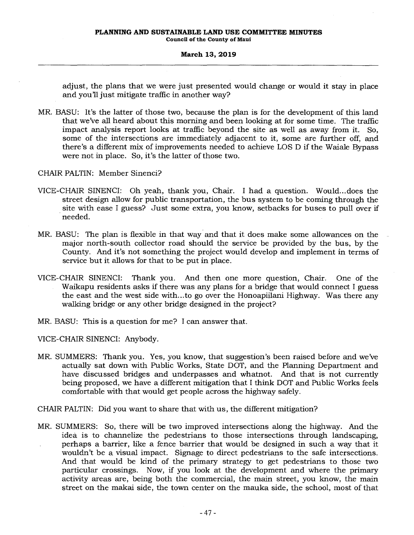adjust, the plans that we were just presented would change or would it stay in place and you'll just mitigate traffic in another way?

MR. BASU: It's the latter of those two, because the plan is for the development of this land that we've all heard about this morning and been looking at for some time. The traffic impact analysis report looks at traffic beyond the site as well as away from it. So, some of the intersections are immediately adjacent to it, some are further off, and there's a different mix of improvements needed to achieve LOS D if the Waiale Bypass were not in place. So, it's the latter of those two.

CHAIR PALTIN: Member Sinenci?

- VICE-CHAIR SINENCI: Oh yeah, thank you, Chair. I had a question. Would... does the street design allow for public transportation, the bus system to be coming through the site with ease I guess? Just some extra, you know, setbacks for buses to pull over if needed.
- MR. BASU: The plan is flexible in that way and that it does make some allowances on the major north-south collector road should the service be provided by the bus, by the County. And it's not something the project would develop and implement in terms of service but it allows for that to be put in place.
- VICE-CHAIR SINENCI: Thank you. And then one more question, Chair. One of the Waikapu residents asks if there was any plans for a bridge that would connect I guess the east and the west side with...to go over the Honoapiilani Highway. Was there any walking bridge or any other bridge designed in the project?
- MR. BASU: This is a question for me? I can answer that.

VICE-CHAIR SINENCI: Anybody.

MR. SUMMERS: Thank you. Yes, you know, that suggestion's been raised before and we've actually sat down with Public Works, State DOT, and the Planning Department and have discussed bridges and underpasses and whatnot. And that is not currently being proposed, we have a different mitigation that I think DOT and Public Works feels comfortable with that would get people across the highway safely.

CHAIR PALTIN: Did you want to share that with us, the different mitigation?

MR. SUMMERS: So, there will be two improved intersections along the highway. And the idea is to channelize the pedestrians to those intersections through landscaping, perhaps a barrier, like a fence barrier that would be designed in such a way that it wouldn't be a visual impact. Signage to direct pedestrians to the safe intersections. And that would be kind of the primary strategy to get pedestrians to those two particular crossings. Now, if you look at the development and where the primary activity areas are, being both the commercial, the main street, you know, the main street on the makai side, the town center on the mauka side, the school, most of that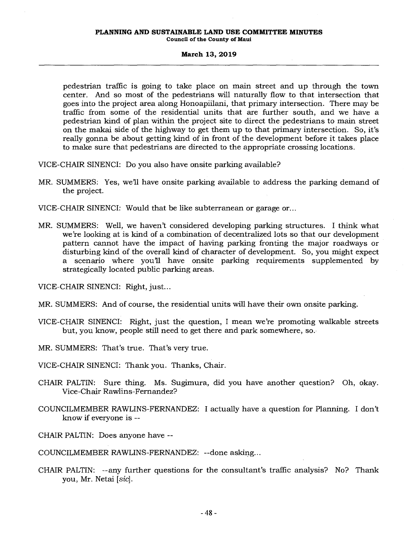#### **PLANNING AND SUSTAINABLE LAND USE COMMITTEE MINUTES Council of the County of Maui**

#### **March 13, 2019**

pedestrian traffic is going to take place on main street and up through the town center. And so most of the pedestrians will naturally flow to that intersection that goes into the project area along Honoapiilani, that primary intersection. There may be traffic from some of the residential units that are further south, and we have a pedestrian kind of plan within the project site to direct the pedestrians to main street on the makai side of the highway to get them up to that primary intersection. So, it's really gonna be about getting kind of in front of the development before it takes place to make sure that pedestrians are directed to the appropriate crossing locations.

VICE-CHAIR SINENCI: Do you also have onsite parking available?

- MR. SUMMERS: Yes, we'll have onsite parking available to address the parking demand of the project.
- VICE-CHAIR SINENCI: Would that be like subterranean or garage or...
- MR. SUMMERS: Well, we haven't considered developing parking structures. I think what we're looking at is kind of a combination of decentralized lots so that our development pattern cannot have the impact of having parking fronting the major roadways or disturbing kind of the overall kind of character of development. So, you might expect a scenario where you'll have onsite parking requirements supplemented by strategically located public parking areas.

VICE-CHAIR SINENCI: Right, just...

- MR. SUMMERS: And of course, the residential units will have their own onsite parking.
- VICE-CHAIR SINENCI: Right, just the question, I mean we're promoting walkable streets but, you know, people still need to get there and park somewhere, so.
- MR. SUMMERS: That's true. That's very true.
- VICE-CHAIR SINENCI: Thank you. Thanks, Chair.
- CHAIR PALTIN: Sure thing. Ms. Sugimura, did you have another question? Oh, okay. Vice-Chair Rawlins-Fernandez?
- COUNCILMEMBER RAWLINS-FERNANDEZ: I actually have a question for Planning. I don't know if everyone is --
- CHAIR PALTIN: Does anyone have --

COUNCILMEMBER RAWLINS-FERNANDEZ: --done asking...

CHAIR PALTIN: --any further questions for the consultant's traffic analysis? No? Thank you, Mr. Netai *[sic].*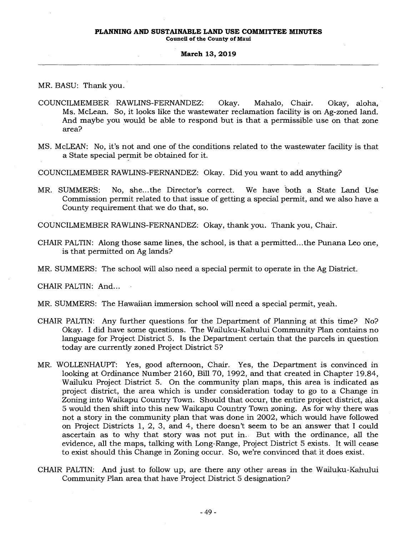**Council of the County of Maui** 

### **March 13, 2019**

MR. BASU: Thank you.

- COUNCILMEMBER RAWLINS-FERNANDEZ: Okay. Mahalo, Chair. Okay, aloha, Ms. McLean. So, it looks like the wastewater reclamation facility is on Ag-zoned land. And maybe you would be able to respond but is that a permissible use on that zone area?
- MS. McLEAN: No, it's not and one of the conditions related to the wastewater facility is that a State special permit be obtained for it.

COUNCILMEMBER RAWLINS-FERNANDEZ: Okay. Did you want to add anything?

MR. SUMMERS: No, she...the Director's correct. We have both a State Land Use Commission permit related to that issue of getting a special permit, and we also have a County requirement that we do that, so.

COUNCILMEMBER RAWLINS-FERNANDEZ: Okay, thank you. Thank you, Chair.

- CHAIR PALTIN: Along those same lines, the school, is that a permitted...the Punana Leo one, is that permitted on Ag lands?
- MR. SUMMERS: The school will also need a special permit to operate in the Ag District.

CHAIR PALTIN: And...

- MR. SUMMERS: The Hawaiian immersion school will need a special permit, yeah.
- CHAIR PALTIN: Any further questions for the Department of Planning at this time? No? Okay. I did have some questions. The Wailuku-Kahului Community Plan contains no language for Project District 5. Is the Department certain that the parcels in question today are currently zoned Project District 5?
- MR. WOLLENHAUPT: Yes, good afternoon, Chair. Yes, the Department is convinced in looking at Ordinance Number 2160, Bill 70, 1992, and that created in Chapter 19.84, Wailuku Project District 5. On the community plan maps, this area is indicated as project district, the area which is under consideration today to go to a Change in Zoning into Waikapu Country Town. Should that occur, the entire project district, aka 5 would then shift into this new Waikapu Country Town zoning. As for why there was not a story in the community plan that was done in 2002, which would have followed on Project Districts 1, 2, 3, and 4, there doesn't seem to be an answer that I could ascertain as to why that story was not put in. But with the ordinance, all the evidence, all the maps, talking with Long-Range, Project District 5 exists. It will cease to exist should this Change in Zoning occur. So, we're convinced that it does exist.
- CHAIR PALTIN: And just to follow up, are there any other areas in the Wailuku-Kahului Community Plan area that have Project District 5 designation?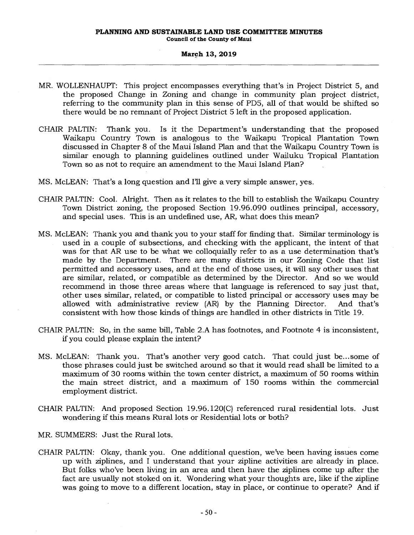- MR. WOLLENHAUPT: This project encompasses everything that's in Project District 5, and the proposed Change in Zoning and change in community plan project district, referring to the community plan in this sense of PD5, all of that would be shifted so there would be no remnant of Project District 5 left in the proposed application.
- CHAIR PALTIN: Thank you. Is it the Department's understanding that the proposed Waikapu Country Town is analogous to the Waikapu Tropical Plantation Town discussed in Chapter 8 of the Maui Island Plan and that the Waikapu Country Town is similar enough to planning guidelines outlined under Wailuku Tropical Plantation Town so as not to require an amendment to the Maui Island Plan?
- MS. McLEAN: That's a long question and I'll give a very simple answer, yes.
- CHAIR PALTIN: Cool. Alright. Then as it relates to the bill to establish the Waikapu Country Town District zoning, the proposed Section 19.96.090 outlines principal, accessory, and special uses. This is an undefined use, AR, what does this mean?
- MS. McLEAN: Thank you and thank you to your staff for finding that. Similar terminology is used in a couple of subsections, and checking with the applicant, the intent of that was for that AR use to be what we colloquially refer to as a use determination that's made by the Department. There are many districts in our Zoning Code that list permitted and accessory uses, and at the end of those uses, it will say other uses that are similar, related, or compatible as determined by the Director. And so we would recommend in those three areas where that language is referenced to say just that, other uses similar, related, or compatible to listed principal or accessory uses may be allowed with administrative review (AR) by the Planning Director. And that's consistent with how those kinds of things are handled in other districts in Title 19.
- CHAIR PALTIN: So, in the same bill, Table 2.A has footnotes, and Footnote 4 is inconsistent, if you could please explain the intent?
- MS. McLEAN: Thank you. That's another very good catch. That could just be...some of those phrases could just be switched around so that it would read shall be limited to a maximum of 30 rooms within the town center district, a maximum of 50 rooms within the main street district, and a maximum of 150 rooms within the commercial employment district.
- CHAIR PALTIN: And proposed Section 19.96.120(C) referenced rural residential lots. Just wondering if this means Rural lots or Residential lots or both?
- MR. SUMMERS: Just the Rural lots.
- CHAIR PALTIN: Okay, thank you. One additional question, we've been having issues come up with ziplines, and I understand that your zipline activities are already in place. But folks who've been living in an area and then have the ziplines come up after the fact are usually not stoked on it. Wondering what your thoughts are, like if the zipline was going to move to a different location, stay in place, or continue to operate? And if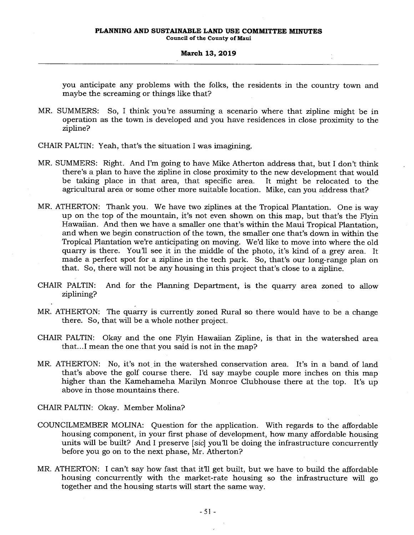you anticipate any problems with the folks, the residents in the country town and maybe the screaming or things like that?

- MR. SUMMERS: So, I think you're assuming a scenario where that zipline might be in operation as the town is developed and you have residences in close proximity to the zipline?
- CHAIR PALTIN: Yeah, that's the situation I was imagining.
- MR. SUMMERS: Right. And I'm going to have Mike Atherton address that, but I don't think there's a plan to have the zipline in close proximity to the new development that would be taking place in that area, that specific area. It might be relocated to the agricultural area or some other more suitable location. Mike, can you address that?
- MR. ATHERTON: Thank you. We have two ziplines at the Tropical Plantation. One is way up on the top of the mountain, it's not even shown on this map, but that's the Flyin Hawaiian. And then we have a smaller one that's within the Maui Tropical Plantation, and when we begin construction of the town, the smaller one that's down in within the Tropical Plantation we're anticipating on moving. We'd like to move into where the old quarry is there. You'll see it in the middle of the photo, it's kind of a grey area. It made a perfect spot for a zipline in the tech park. So, that's our long-range plan on that. So, there will not be any housing in this project that's close to a zipline.
- CHAIR PALTIN: And for the Planning Department, is the quarry area zoned to allow ziplining?
- MR. ATHERTON: The quarry is currently zoned Rural so there would have to be a change there. So, that will be a whole nother project.
- CHAIR PALTIN: Okay and the one Flyin Hawaiian Zipline, is that in the watershed area that...I mean the one that you said is not in the map?
- MR. ATHERTON: No, it's not in the watershed conservation area. It's in a band, of land that's above the golf course there. I'd say maybe couple more inches on this map higher than the Kamehameha Marilyn Monroe Clubhouse there at the top. It's up above in those mountains there.

CHAIR PALTIN: Okay. Member Molina?

- COUNCILMEMBER MOLINA: Question for the application. With regards to the affordable housing component, in your first phase of development, how many affordable housing units will be built? And I preserve *[sic]* you'll be doing the infrastructure concurrently before you go on to the next phase, Mr. Atherton?
- MR. ATHERTON: I can't say how fast that it'll get built, but we have to build the affordable housing concurrently with the market-rate housing so the infrastructure will go together and the housing starts will start the same way.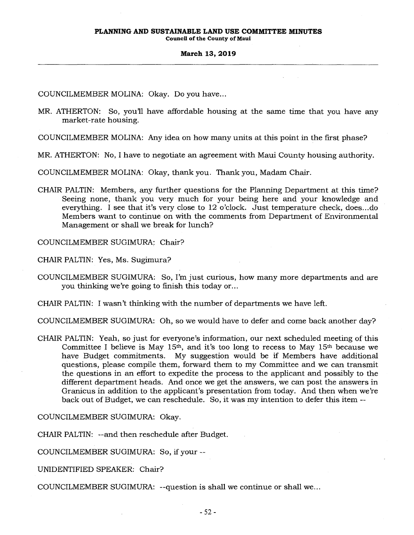**Council of the County of Maui** 

#### **March 13, 2019**

COUNCILMEMBER MOLINA: Okay. Do you have...

MR. ATHERTON: So, you'll have affordable housing at the same time that you have any market-rate housing.

COUNCILMEMBER MOLINA: Any idea on how many units at this point in the first phase?

MR. ATHERTON: No, I have to negotiate an agreement with Maui County housing authority.

COUNCILMEMBER MOLINA: Okay, thank you. Thank you, Madam Chair.

CHAIR PALTIN: Members, any further questions for the Planning Department at this time? Seeing none, thank you very much for your being here and your knowledge and everything. I see that it's very close to 12 o'clock. Just temperature check, does...do Members want to continue on with the comments from Department of Environmental Management or shall we break for lunch?

COUNCILMEMBER SUGIMURA: Chair?

CHAIR PALTIN: Yes, Ms. Sugimura?

COUNCILMEMBER SUGIMURA: So, I'm just curious, how many more departments and are you thinking we're going to finish this today or...

CHAIR PALTIN: I wasn't thinking with the number of departments we have left.

COUNCILMEMBER SUGIMURA: Oh, so we would have to defer and come back another day?

CHAIR PALTIN: Yeah, so just for everyone's information, our next scheduled meeting of this Committee I believe is May  $15<sup>th</sup>$ , and it's too long to recess to May  $15<sup>th</sup>$  because we have Budget commitments. My suggestion would be if Members have additional questions, please compile them, forward them to my Committee and we can transmit the questions in an effort to expedite the process to the applicant and possibly to the different department heads. And once we get the answers, we can post the answers in Granicus in addition to the applicant's presentation from today. And then when we're back out of Budget, we can reschedule. So, it was my intention to defer this item --

COUNCILMEMBER SUGIMURA: Okay.

CHAIR PALTIN: --and then reschedule after Budget.

COUNCILMEMBER SUGIMURA: So, if your --

UNIDENTIFIED SPEAKER: Chair?

COUNCILMEMBER SUGIMURA: --question is shall we continue or shall we...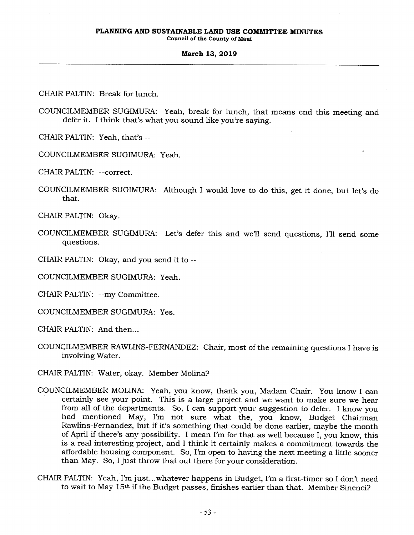CHAIR PALTIN: Break for lunch.

COUNCILMEMBER SUGIMURA: Yeah, break for lunch, that means end this meeting and defer it. I think that's what you sound like you're saying.

CHAIR PALTIN: Yeah, that's --

COUNCILMEMBER SUGIMURA: Yeah.

CHAIR PALTIN: --correct.

COUNCILMEMBER SUGIMURA: Although I would love to do this, get it done, but let's do that.

CHAIR PALTIN: Okay.

- COUNCILMEMBER SUGIMURA: Let's defer this and we'll send questions, Ill send some questions.
- CHAIR PALTIN: Okay, and you send it to --

COUNCILMEMBER SUGIMURA: Yeah.

CHAIR PALTIN: --my Committee.

COUNCILMEMBER SUGIMURA: Yes.

CHAIR PALTIN: And then...

- COUNCILMEMBER RAWLINS-FERNANDEZ: Chair, most of the remaining questions I have is involving Water.
- CHAIR PALTIN: Water, okay. Member Molina?
- COUNCILMEMBER MOLINA: Yeah, you know, thank you, Madam Chair. You know I can certainly see your point. This is a large project and we want to make sure we hear from all of the departments. So, I can support your suggestion to defer. I know you had mentioned May, I'm not sure what the, you know, Budget Chairman Rawlins-Fernandez, but if it's something that could be done earlier, maybe the month of April if there's any possibility. I mean I'm for that as well because I, you know, this is a real interesting project, and I think it certainly makes a commitment towards the affordable housing component. So, I'm open to having the next meeting a little sooner than May. So, I just throw that out there for your consideration.
- CHAIR PALTIN: Yeah, I'm just...whatever happens in Budget, I'm a first-timer so I don't need to wait to May 15th if the Budget passes, finishes earlier than that. Member Sinenci?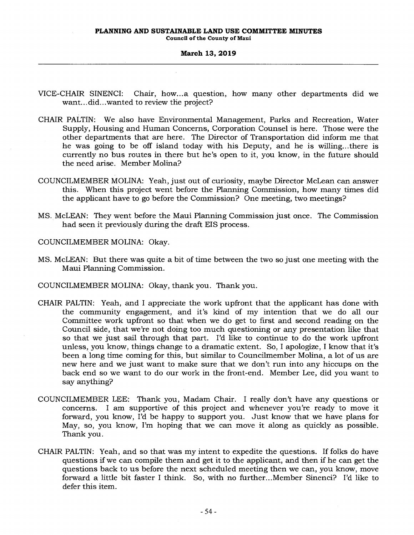- VICE-CHAIR SINENCI: Chair, how...a question, how many other departments did we want...did...wanted to review the project?
- CHAIR PALTIN: We also have Environmental Management, Parks and Recreation, Water Supply, Housing and Human Concerns, Corporation Counsel is here. Those were the other departments that are here. The Director of Transportation did inform me that he was going to be off island today with his Deputy, and he is willing...there is currently no bus routes in there but he's open to it, you know, in the future should the need arise. Member Molina?
- COUNCILMEMBER MOLINA: Yeah, just out of curiosity, maybe Director McLean can answer this. When this project went before the Planning Commission, how many times did the applicant have to go before the Commission? One meeting, two meetings?
- MS. McLEAN: They went before the Maui Planning Commission just once. The Commission had seen it previously during the draft EIS process.

COUNCILMEMBER MOLINA: Okay.

- MS. McLEAN: But there was quite a bit of time between the two so just one meeting with the Maui Planning Commission.
- COUNCILMEMBER MOLINA: Okay, thank you. Thank you.
- CHAIR PALTIN: Yeah, and I appreciate the work upfront that the applicant has done with the community engagement, and it's kind of my intention that we do all our Committee work upfront so that when we do get to first and second reading on the Council side, that we're not doing too much questioning or any presentation like that so that we just sail through that part. I'd like to continue to do the work upfront unless, you know, things change to a dramatic extent. So, I apologize, I know that it's been a long time coming for this, but similar to Councilmember Molina, a lot of us are new here and we just want to make sure that we don't run into any hiccups on the back end so we want to do our work in the front-end. Member Lee, did you want to say anything?
- COUNCILMEMBER LEE: Thank you, Madam Chair. I really don't have any questions or concerns. I am supportive of this project and whenever you're ready to move it forward, you know, I'd be happy to support you. Just know that we have plans for May, so, you know, I'm hoping that we can move it along as quickly as possible. Thank you.
- CHAIR PALTIN: Yeah, and so that was my intent to expedite the questions. If folks do have questions if we can compile them and get it to the applicant, and then if he can get the questions back to us before the next scheduled meeting then we can, you know, move forward a little bit faster I think. So, with no further...Member Sinenci? I'd like to defer this item.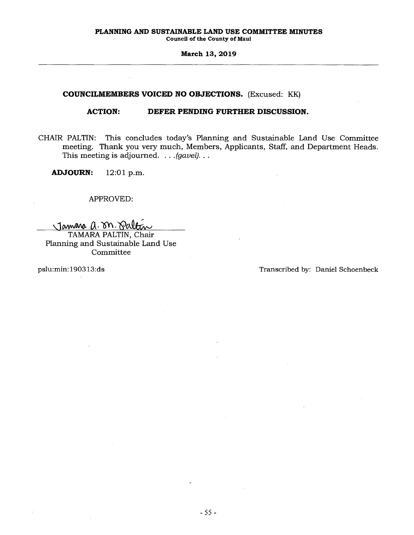## **COUNCILMEMBERS VOICED NO OBJECTIONS.** (Excused: KK)

## **ACTION: DEFER PENDING FURTHER DISCUSSION.**

CHAIR PALTIN: This concludes today's Planning and Sustainable Land Use Committee meeting. Thank you very much, Members, Applicants, Staff, and Department Heads. This meeting is adjourned. . . *.(gavel). . .* 

**ADJOURN:** 12:01 p.m.

## APPROVED:

Jamara a. on Saltin

TAMARA PALTIN, Chair Planning and Sustainable Land Use Committee

pslu:min:190313:ds Transcribed by: Daniel Schoenbeck